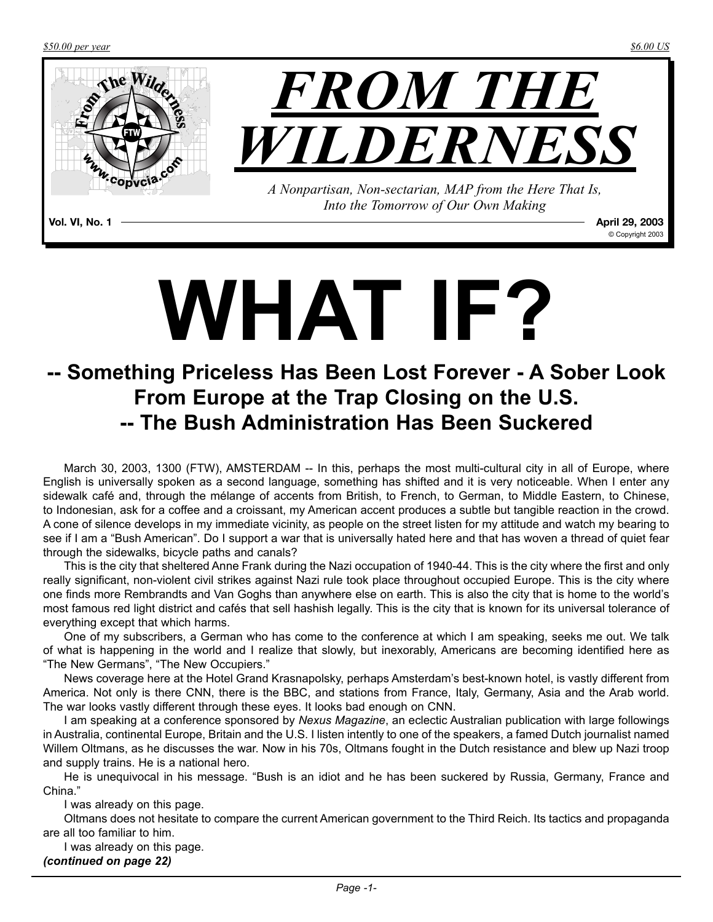

**Vol. VI, No. 1 April 29, 2003** © Copyright 2003

# **WHAT IF?**

# **-- Something Priceless Has Been Lost Forever - A Sober Look From Europe at the Trap Closing on the U.S. -- The Bush Administration Has Been Suckered**

March 30, 2003, 1300 (FTW), AMSTERDAM -- In this, perhaps the most multi-cultural city in all of Europe, where English is universally spoken as a second language, something has shifted and it is very noticeable. When I enter any sidewalk café and, through the mélange of accents from British, to French, to German, to Middle Eastern, to Chinese, to Indonesian, ask for a coffee and a croissant, my American accent produces a subtle but tangible reaction in the crowd. A cone of silence develops in my immediate vicinity, as people on the street listen for my attitude and watch my bearing to see if I am a "Bush American". Do I support a war that is universally hated here and that has woven a thread of quiet fear through the sidewalks, bicycle paths and canals?

This is the city that sheltered Anne Frank during the Nazi occupation of 1940-44. This is the city where the first and only really significant, non-violent civil strikes against Nazi rule took place throughout occupied Europe. This is the city where one finds more Rembrandts and Van Goghs than anywhere else on earth. This is also the city that is home to the world's most famous red light district and cafés that sell hashish legally. This is the city that is known for its universal tolerance of everything except that which harms.

One of my subscribers, a German who has come to the conference at which I am speaking, seeks me out. We talk of what is happening in the world and I realize that slowly, but inexorably, Americans are becoming identified here as "The New Germans", "The New Occupiers."

News coverage here at the Hotel Grand Krasnapolsky, perhaps Amsterdam's best-known hotel, is vastly different from America. Not only is there CNN, there is the BBC, and stations from France, Italy, Germany, Asia and the Arab world. The war looks vastly different through these eyes. It looks bad enough on CNN.

I am speaking at a conference sponsored by *Nexus Magazine*, an eclectic Australian publication with large followings in Australia, continental Europe, Britain and the U.S. I listen intently to one of the speakers, a famed Dutch journalist named Willem Oltmans, as he discusses the war. Now in his 70s, Oltmans fought in the Dutch resistance and blew up Nazi troop and supply trains. He is a national hero.

He is unequivocal in his message. "Bush is an idiot and he has been suckered by Russia, Germany, France and China."

I was already on this page.

Oltmans does not hesitate to compare the current American government to the Third Reich. Its tactics and propaganda are all too familiar to him.

I was already on this page.

*(continued on page 22)*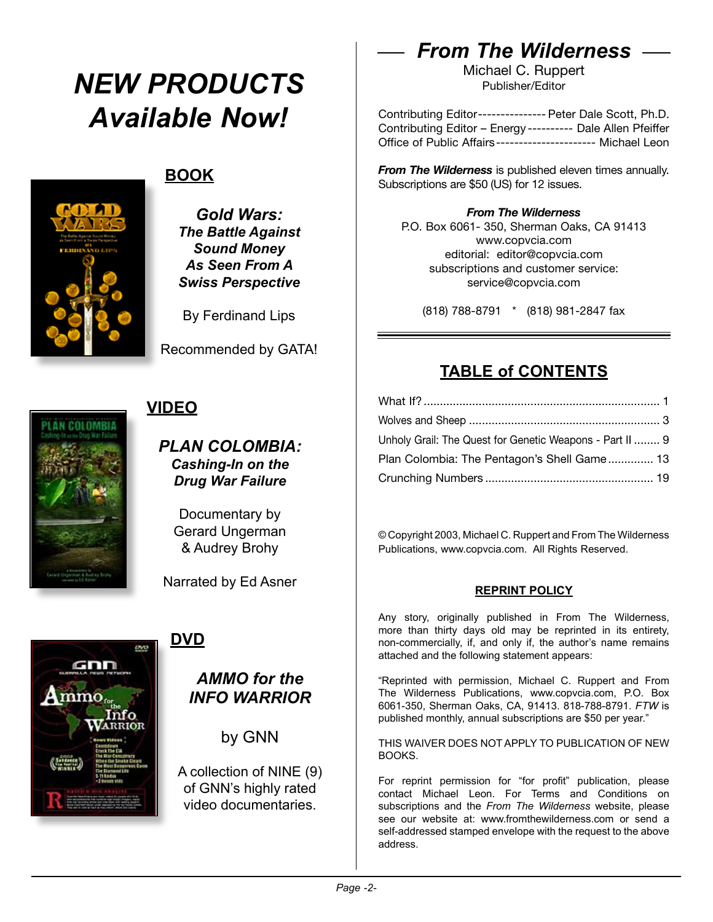# *NEW PRODUCTS Available Now!*



AN COLOMBIA

### **BOOK**

*Gold Wars: The Battle Against Sound Money As Seen From A Swiss Perspective*

By Ferdinand Lips

Recommended by GATA!

### *From The Wilderness*

Michael C. Ruppert Publisher/Editor

Contributing Editor--------------- Peter Dale Scott, Ph.D. Contributing Editor – Energy ---------- Dale Allen Pfeiffer Office of Public Affairs---------------------- Michael Leon

*From The Wilderness* is published eleven times annually. Subscriptions are \$50 (US) for 12 issues.

### *From The Wilderness*

P.O. Box 6061- 350, Sherman Oaks, CA 91413 [www.copvcia.com](http://www.copvcia.com) editorial: editor@copvcia.com subscriptions and customer service: service@copvcia.com

(818) 788-8791 \* (818) 981-2847 fax

### **TABLE of CONTENTS**

| Unholy Grail: The Quest for Genetic Weapons - Part II  9 |  |
|----------------------------------------------------------|--|
| Plan Colombia: The Pentagon's Shell Game 13              |  |
|                                                          |  |
|                                                          |  |

© Copyright 2003, Michael C. Ruppert and From The Wilderness Publications, www.copvcia.com. All Rights Reserved.

### **REPRINT POLICY**

Any story, originally published in From The Wilderness, more than thirty days old may be reprinted in its entirety, non-commercially, if, and only if, the author's name remains attached and the following statement appears:

"Reprinted with permission, Michael C. Ruppert and From The Wilderness Publications, www.copvcia.com, P.O. Box 6061-350, Sherman Oaks, CA, 91413. 818-788-8791. *FTW* is published monthly, annual subscriptions are \$50 per year."

THIS WAIVER DOES NOT APPLY TO PUBLICATION OF NEW BOOKS.

For reprint permission for "for profit" publication, please contact Michael Leon. For Terms and Conditions on subscriptions and the *From The Wilderness* website, please see our website at: www.fromthewilderness.com or send a self-addressed stamped envelope with the request to the above address.

# **VIDEO**

*PLAN COLOMBIA: Cashing-In on the Drug War Failure*

> Documentary by Gerard Ungerman & Audrey Brohy

Narrated by Ed Asner

**DVD**



### *AMMO for the INFO WARRIOR*

by GNN

A collection of NINE (9) of GNN's highly rated video documentaries.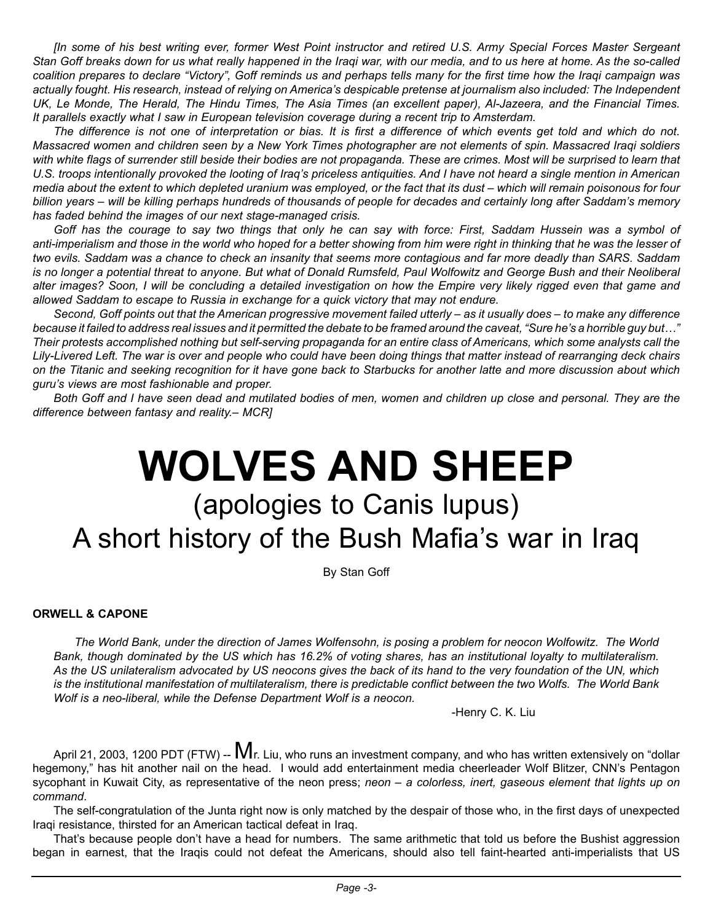*[In some of his best writing ever, former West Point instructor and retired U.S. Army Special Forces Master Sergeant Stan Goff breaks down for us what really happened in the Iraqi war, with our media, and to us here at home. As the so-called coalition prepares to declare "Victory", Goff reminds us and perhaps tells many for the first time how the Iraqi campaign was actually fought. His research, instead of relying on America's despicable pretense at journalism also included: The Independent UK, Le Monde, The Herald, The Hindu Times, The Asia Times (an excellent paper), Al-Jazeera, and the Financial Times. It parallels exactly what I saw in European television coverage during a recent trip to Amsterdam.*

*The difference is not one of interpretation or bias. It is first a difference of which events get told and which do not. Massacred women and children seen by a New York Times photographer are not elements of spin. Massacred Iraqi soldiers*  with white flags of surrender still beside their bodies are not propaganda. These are crimes. Most will be surprised to learn that *U.S. troops intentionally provoked the looting of Iraq's priceless antiquities. And I have not heard a single mention in American media about the extent to which depleted uranium was employed, or the fact that its dust – which will remain poisonous for four billion years – will be killing perhaps hundreds of thousands of people for decades and certainly long after Saddam's memory has faded behind the images of our next stage-managed crisis.*

*Goff has the courage to say two things that only he can say with force: First, Saddam Hussein was a symbol of anti-imperialism and those in the world who hoped for a better showing from him were right in thinking that he was the lesser of two evils. Saddam was a chance to check an insanity that seems more contagious and far more deadly than SARS. Saddam*  is no longer a potential threat to anyone. But what of Donald Rumsfeld, Paul Wolfowitz and George Bush and their Neoliberal *alter images? Soon, I will be concluding a detailed investigation on how the Empire very likely rigged even that game and allowed Saddam to escape to Russia in exchange for a quick victory that may not endure.*

*Second, Goff points out that the American progressive movement failed utterly – as it usually does – to make any difference because it failed to address real issues and it permitted the debate to be framed around the caveat, "Sure he's a horrible guy but…" Their protests accomplished nothing but self-serving propaganda for an entire class of Americans, which some analysts call the Lily-Livered Left. The war is over and people who could have been doing things that matter instead of rearranging deck chairs on the Titanic and seeking recognition for it have gone back to Starbucks for another latte and more discussion about which guru's views are most fashionable and proper.*

*Both Goff and I have seen dead and mutilated bodies of men, women and children up close and personal. They are the difference between fantasy and reality.– MCR]*

# **WOLVES AND SHEEP** (apologies to Canis lupus) A short history of the Bush Mafia's war in Iraq

By Stan Goff

### **ORWELL & CAPONE**

*The World Bank, under the direction of James Wolfensohn, is posing a problem for neocon Wolfowitz. The World Bank, though dominated by the US which has 16.2% of voting shares, has an institutional loyalty to multilateralism. As the US unilateralism advocated by US neocons gives the back of its hand to the very foundation of the UN, which is the institutional manifestation of multilateralism, there is predictable conflict between the two Wolfs. The World Bank Wolf is a neo-liberal, while the Defense Department Wolf is a neocon.*

-Henry C. K. Liu

April 21, 2003, 1200 PDT (FTW) --  $M$ r. Liu, who runs an investment company, and who has written extensively on "dollar hegemony," has hit another nail on the head. I would add entertainment media cheerleader Wolf Blitzer, CNN's Pentagon sycophant in Kuwait City, as representative of the neon press; *neon – a colorless, inert, gaseous element that lights up on command*.

The self-congratulation of the Junta right now is only matched by the despair of those who, in the first days of unexpected Iraqi resistance, thirsted for an American tactical defeat in Iraq.

That's because people don't have a head for numbers. The same arithmetic that told us before the Bushist aggression began in earnest, that the Iraqis could not defeat the Americans, should also tell faint-hearted anti-imperialists that US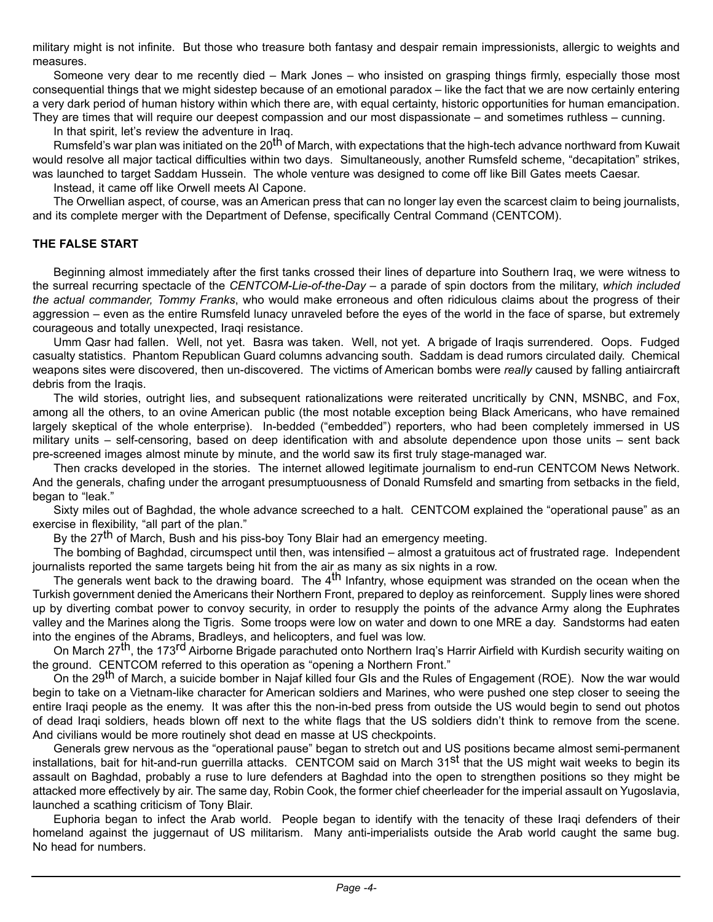military might is not infinite. But those who treasure both fantasy and despair remain impressionists, allergic to weights and measures.

Someone very dear to me recently died – Mark Jones – who insisted on grasping things firmly, especially those most consequential things that we might sidestep because of an emotional paradox – like the fact that we are now certainly entering a very dark period of human history within which there are, with equal certainty, historic opportunities for human emancipation. They are times that will require our deepest compassion and our most dispassionate – and sometimes ruthless – cunning.

In that spirit, let's review the adventure in Iraq.

Rumsfeld's war plan was initiated on the 20<sup>th</sup> of March, with expectations that the high-tech advance northward from Kuwait would resolve all major tactical difficulties within two days. Simultaneously, another Rumsfeld scheme, "decapitation" strikes, was launched to target Saddam Hussein. The whole venture was designed to come off like Bill Gates meets Caesar.

Instead, it came off like Orwell meets Al Capone.

The Orwellian aspect, of course, was an American press that can no longer lay even the scarcest claim to being journalists, and its complete merger with the Department of Defense, specifically Central Command (CENTCOM).

### **THE FALSE START**

Beginning almost immediately after the first tanks crossed their lines of departure into Southern Iraq, we were witness to the surreal recurring spectacle of the *CENTCOM-Lie-of-the-Day* – a parade of spin doctors from the military, *which included the actual commander, Tommy Franks*, who would make erroneous and often ridiculous claims about the progress of their aggression – even as the entire Rumsfeld lunacy unraveled before the eyes of the world in the face of sparse, but extremely courageous and totally unexpected, Iraqi resistance.

Umm Qasr had fallen. Well, not yet. Basra was taken. Well, not yet. A brigade of Iraqis surrendered. Oops. Fudged casualty statistics. Phantom Republican Guard columns advancing south. Saddam is dead rumors circulated daily. Chemical weapons sites were discovered, then un-discovered. The victims of American bombs were *really* caused by falling antiaircraft debris from the Iraqis.

The wild stories, outright lies, and subsequent rationalizations were reiterated uncritically by CNN, MSNBC, and Fox, among all the others, to an ovine American public (the most notable exception being Black Americans, who have remained largely skeptical of the whole enterprise). In-bedded ("embedded") reporters, who had been completely immersed in US military units – self-censoring, based on deep identification with and absolute dependence upon those units – sent back pre-screened images almost minute by minute, and the world saw its first truly stage-managed war.

Then cracks developed in the stories. The internet allowed legitimate journalism to end-run CENTCOM News Network. And the generals, chafing under the arrogant presumptuousness of Donald Rumsfeld and smarting from setbacks in the field, began to "leak."

Sixty miles out of Baghdad, the whole advance screeched to a halt. CENTCOM explained the "operational pause" as an exercise in flexibility, "all part of the plan."

By the 27<sup>th</sup> of March, Bush and his piss-boy Tony Blair had an emergency meeting.

The bombing of Baghdad, circumspect until then, was intensified – almost a gratuitous act of frustrated rage. Independent journalists reported the same targets being hit from the air as many as six nights in a row.

The generals went back to the drawing board. The 4<sup>th</sup> Infantry, whose equipment was stranded on the ocean when the Turkish government denied the Americans their Northern Front, prepared to deploy as reinforcement. Supply lines were shored up by diverting combat power to convoy security, in order to resupply the points of the advance Army along the Euphrates valley and the Marines along the Tigris. Some troops were low on water and down to one MRE a day. Sandstorms had eaten into the engines of the Abrams, Bradleys, and helicopters, and fuel was low.

On March 27<sup>th</sup>, the 173<sup>rd</sup> Airborne Brigade parachuted onto Northern Iraq's Harrir Airfield with Kurdish security waiting on the ground. CENTCOM referred to this operation as "opening a Northern Front."

On the 29<sup>th</sup> of March, a suicide bomber in Najaf killed four GIs and the Rules of Engagement (ROE). Now the war would begin to take on a Vietnam-like character for American soldiers and Marines, who were pushed one step closer to seeing the entire Iraqi people as the enemy. It was after this the non-in-bed press from outside the US would begin to send out photos of dead Iraqi soldiers, heads blown off next to the white flags that the US soldiers didn't think to remove from the scene. And civilians would be more routinely shot dead en masse at US checkpoints.

Generals grew nervous as the "operational pause" began to stretch out and US positions became almost semi-permanent installations, bait for hit-and-run guerrilla attacks. CENTCOM said on March 31<sup>st</sup> that the US might wait weeks to begin its assault on Baghdad, probably a ruse to lure defenders at Baghdad into the open to strengthen positions so they might be attacked more effectively by air. The same day, Robin Cook, the former chief cheerleader for the imperial assault on Yugoslavia, launched a scathing criticism of Tony Blair.

Euphoria began to infect the Arab world. People began to identify with the tenacity of these Iraqi defenders of their homeland against the juggernaut of US militarism. Many anti-imperialists outside the Arab world caught the same bug. No head for numbers.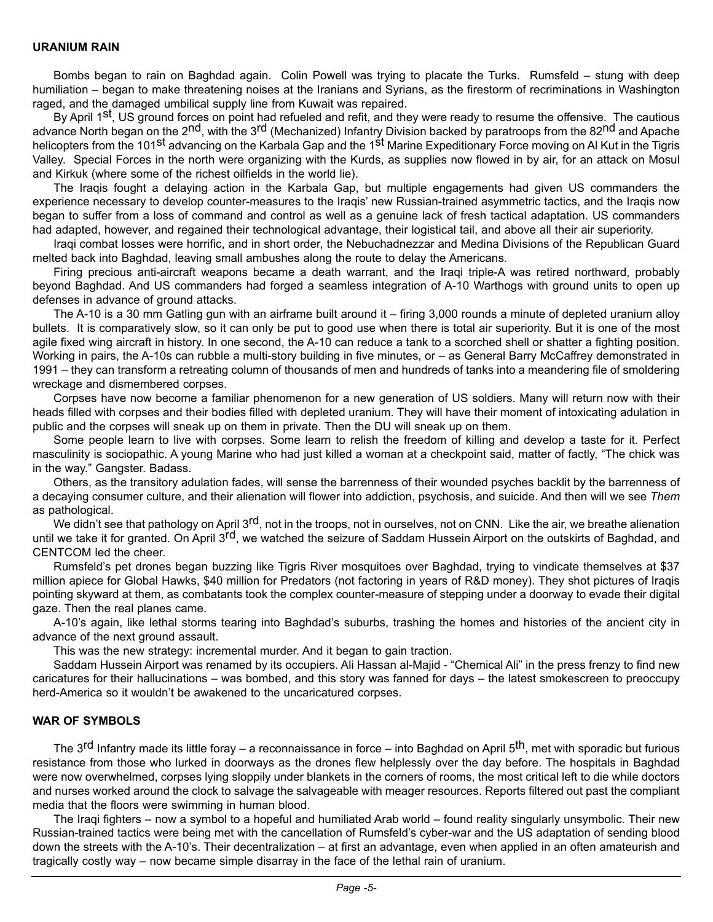#### **URANIUM RAIN**

Bombs began to rain on Baghdad again. Colin Powell was trying to placate the Turks. Rumsfeld – stung with deep humiliation – began to make threatening noises at the Iranians and Syrians, as the firestorm of recriminations in Washington raged, and the damaged umbilical supply line from Kuwait was repaired.

By April 1st, US ground forces on point had refueled and refit, and they were ready to resume the offensive. The cautious advance North began on the 2<sup>nd</sup>, with the 3<sup>rd</sup> (Mechanized) Infantry Division backed by paratroops from the 82<sup>nd</sup> and Apache helicopters from the 101<sup>st</sup> advancing on the Karbala Gap and the 1<sup>st</sup> Marine Expeditionary Force moving on Al Kut in the Tigris Valley. Special Forces in the north were organizing with the Kurds, as supplies now flowed in by air, for an attack on Mosul and Kirkuk (where some of the richest oilfields in the world lie).

The Iraqis fought a delaying action in the Karbala Gap, but multiple engagements had given US commanders the experience necessary to develop counter-measures to the Iraqis' new Russian-trained asymmetric tactics, and the Iraqis now began to suffer from a loss of command and control as well as a genuine lack of fresh tactical adaptation. US commanders had adapted, however, and regained their technological advantage, their logistical tail, and above all their air superiority.

Iraqi combat losses were horrific, and in short order, the Nebuchadnezzar and Medina Divisions of the Republican Guard melted back into Baghdad, leaving small ambushes along the route to delay the Americans.

Firing precious anti-aircraft weapons became a death warrant, and the Iraqi triple-A was retired northward, probably beyond Baghdad. And US commanders had forged a seamless integration of A-10 Warthogs with ground units to open up defenses in advance of ground attacks.

The A-10 is a 30 mm Gatling gun with an airframe built around it – firing 3,000 rounds a minute of depleted uranium alloy bullets. It is comparatively slow, so it can only be put to good use when there is total air superiority. But it is one of the most agile fixed wing aircraft in history. In one second, the A-10 can reduce a tank to a scorched shell or shatter a fighting position. Working in pairs, the A-10s can rubble a multi-story building in five minutes, or – as General Barry McCaffrey demonstrated in 1991 – they can transform a retreating column of thousands of men and hundreds of tanks into a meandering file of smoldering wreckage and dismembered corpses.

Corpses have now become a familiar phenomenon for a new generation of US soldiers. Many will return now with their heads filled with corpses and their bodies filled with depleted uranium. They will have their moment of intoxicating adulation in public and the corpses will sneak up on them in private. Then the DU will sneak up on them.

Some people learn to live with corpses. Some learn to relish the freedom of killing and develop a taste for it. Perfect masculinity is sociopathic. A young Marine who had just killed a woman at a checkpoint said, matter of factly, "The chick was in the way." Gangster. Badass.

Others, as the transitory adulation fades, will sense the barrenness of their wounded psyches backlit by the barrenness of a decaying consumer culture, and their alienation will flower into addiction, psychosis, and suicide. And then will we see *Them* as pathological.

We didn't see that pathology on April 3<sup>rd</sup>, not in the troops, not in ourselves, not on CNN. Like the air, we breathe alienation until we take it for granted. On April 3<sup>rd</sup>, we watched the seizure of Saddam Hussein Airport on the outskirts of Baghdad, and CENTCOM led the cheer.

Rumsfeld's pet drones began buzzing like Tigris River mosquitoes over Baghdad, trying to vindicate themselves at \$37 million apiece for Global Hawks, \$40 million for Predators (not factoring in years of R&D money). They shot pictures of Iraqis pointing skyward at them, as combatants took the complex counter-measure of stepping under a doorway to evade their digital gaze. Then the real planes came.

A-10's again, like lethal storms tearing into Baghdad's suburbs, trashing the homes and histories of the ancient city in advance of the next ground assault.

This was the new strategy: incremental murder. And it began to gain traction.

Saddam Hussein Airport was renamed by its occupiers. Ali Hassan al-Majid - "Chemical Ali" in the press frenzy to find new caricatures for their hallucinations – was bombed, and this story was fanned for days – the latest smokescreen to preoccupy herd-America so it wouldn't be awakened to the uncaricatured corpses.

### **WAR OF SYMBOLS**

The 3<sup>rd</sup> Infantry made its little foray – a reconnaissance in force – into Baghdad on April 5<sup>th</sup>, met with sporadic but furious resistance from those who lurked in doorways as the drones flew helplessly over the day before. The hospitals in Baghdad were now overwhelmed, corpses lying sloppily under blankets in the corners of rooms, the most critical left to die while doctors and nurses worked around the clock to salvage the salvageable with meager resources. Reports filtered out past the compliant media that the floors were swimming in human blood.

The Iraqi fighters – now a symbol to a hopeful and humiliated Arab world – found reality singularly unsymbolic. Their new Russian-trained tactics were being met with the cancellation of Rumsfeld's cyber-war and the US adaptation of sending blood down the streets with the A-10's. Their decentralization – at first an advantage, even when applied in an often amateurish and tragically costly way – now became simple disarray in the face of the lethal rain of uranium.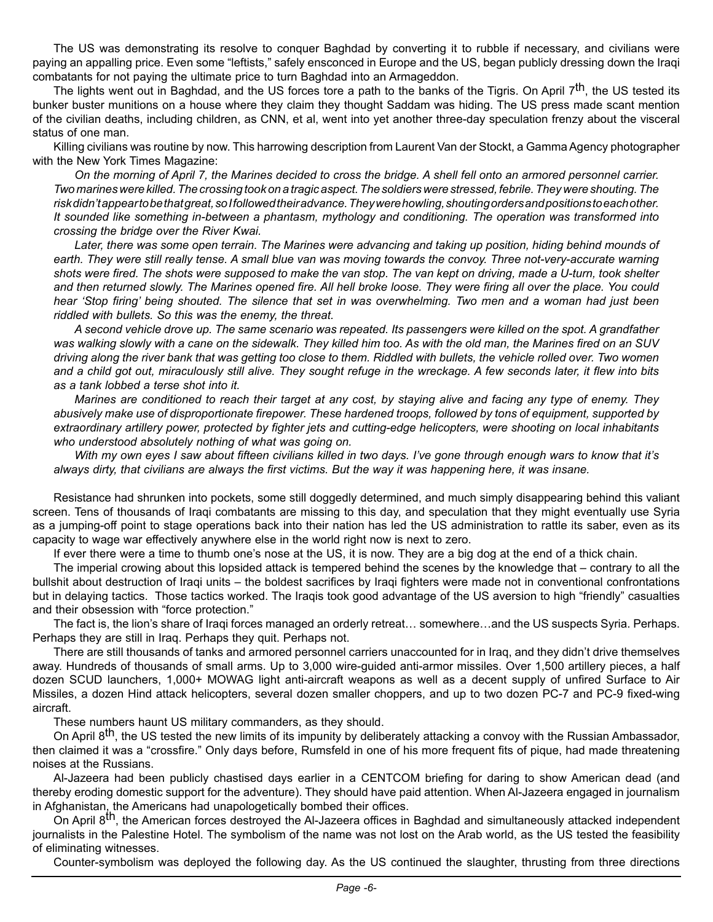The US was demonstrating its resolve to conquer Baghdad by converting it to rubble if necessary, and civilians were paying an appalling price. Even some "leftists," safely ensconced in Europe and the US, began publicly dressing down the Iraqi combatants for not paying the ultimate price to turn Baghdad into an Armageddon.

The lights went out in Baghdad, and the US forces tore a path to the banks of the Tigris. On April 7<sup>th</sup>, the US tested its bunker buster munitions on a house where they claim they thought Saddam was hiding. The US press made scant mention of the civilian deaths, including children, as CNN, et al, went into yet another three-day speculation frenzy about the visceral status of one man.

Killing civilians was routine by now. This harrowing description from Laurent Van der Stockt, a Gamma Agency photographer with the New York Times Magazine:

*On the morning of April 7, the Marines decided to cross the bridge. A shell fell onto an armored personnel carrier. Two marines were killed. The crossing took on a tragic aspect. The soldiers were stressed, febrile. They were shouting. The risk didn't appear to be that great, so I followed their advance. They were howling, shouting orders and positions to each other. It sounded like something in-between a phantasm, mythology and conditioning. The operation was transformed into crossing the bridge over the River Kwai.*

Later, there was some open terrain. The Marines were advancing and taking up position, hiding behind mounds of earth. They were still really tense. A small blue van was moving towards the convoy. Three not-very-accurate warning *shots were fired. The shots were supposed to make the van stop. The van kept on driving, made a U-turn, took shelter and then returned slowly. The Marines opened fire. All hell broke loose. They were firing all over the place. You could hear 'Stop firing' being shouted. The silence that set in was overwhelming. Two men and a woman had just been riddled with bullets. So this was the enemy, the threat.*

*A second vehicle drove up. The same scenario was repeated. Its passengers were killed on the spot. A grandfather was walking slowly with a cane on the sidewalk. They killed him too. As with the old man, the Marines fired on an SUV driving along the river bank that was getting too close to them. Riddled with bullets, the vehicle rolled over. Two women and a child got out, miraculously still alive. They sought refuge in the wreckage. A few seconds later, it flew into bits as a tank lobbed a terse shot into it.*

*Marines are conditioned to reach their target at any cost, by staying alive and facing any type of enemy. They abusively make use of disproportionate firepower. These hardened troops, followed by tons of equipment, supported by extraordinary artillery power, protected by fighter jets and cutting-edge helicopters, were shooting on local inhabitants who understood absolutely nothing of what was going on.*

*With my own eyes I saw about fifteen civilians killed in two days. I've gone through enough wars to know that it's always dirty, that civilians are always the first victims. But the way it was happening here, it was insane.*

Resistance had shrunken into pockets, some still doggedly determined, and much simply disappearing behind this valiant screen. Tens of thousands of Iraqi combatants are missing to this day, and speculation that they might eventually use Syria as a jumping-off point to stage operations back into their nation has led the US administration to rattle its saber, even as its capacity to wage war effectively anywhere else in the world right now is next to zero.

If ever there were a time to thumb one's nose at the US, it is now. They are a big dog at the end of a thick chain.

The imperial crowing about this lopsided attack is tempered behind the scenes by the knowledge that – contrary to all the bullshit about destruction of Iraqi units – the boldest sacrifices by Iraqi fighters were made not in conventional confrontations but in delaying tactics. Those tactics worked. The Iraqis took good advantage of the US aversion to high "friendly" casualties and their obsession with "force protection."

The fact is, the lion's share of Iraqi forces managed an orderly retreat… somewhere…and the US suspects Syria. Perhaps. Perhaps they are still in Iraq. Perhaps they quit. Perhaps not.

There are still thousands of tanks and armored personnel carriers unaccounted for in Iraq, and they didn't drive themselves away. Hundreds of thousands of small arms. Up to 3,000 wire-guided anti-armor missiles. Over 1,500 artillery pieces, a half dozen SCUD launchers, 1,000+ MOWAG light anti-aircraft weapons as well as a decent supply of unfired Surface to Air Missiles, a dozen Hind attack helicopters, several dozen smaller choppers, and up to two dozen PC-7 and PC-9 fixed-wing aircraft.

These numbers haunt US military commanders, as they should.

On April 8<sup>th</sup>, the US tested the new limits of its impunity by deliberately attacking a convoy with the Russian Ambassador, then claimed it was a "crossfire." Only days before, Rumsfeld in one of his more frequent fits of pique, had made threatening noises at the Russians.

Al-Jazeera had been publicly chastised days earlier in a CENTCOM briefing for daring to show American dead (and thereby eroding domestic support for the adventure). They should have paid attention. When Al-Jazeera engaged in journalism in Afghanistan, the Americans had unapologetically bombed their offices.

On April 8<sup>th</sup>, the American forces destroyed the Al-Jazeera offices in Baghdad and simultaneously attacked independent journalists in the Palestine Hotel. The symbolism of the name was not lost on the Arab world, as the US tested the feasibility of eliminating witnesses.

Counter-symbolism was deployed the following day. As the US continued the slaughter, thrusting from three directions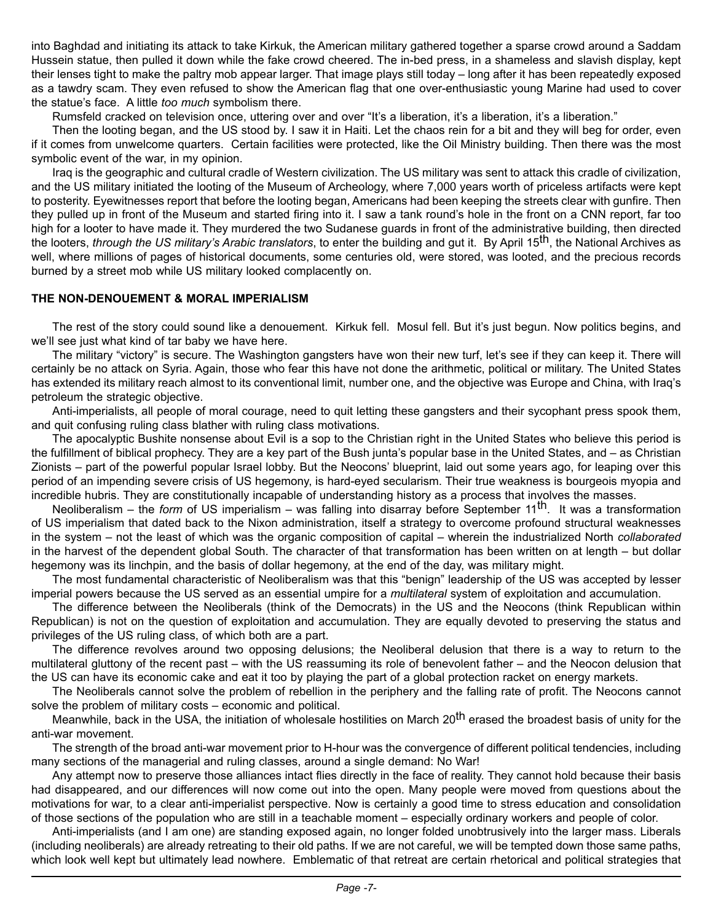into Baghdad and initiating its attack to take Kirkuk, the American military gathered together a sparse crowd around a Saddam Hussein statue, then pulled it down while the fake crowd cheered. The in-bed press, in a shameless and slavish display, kept their lenses tight to make the paltry mob appear larger. That image plays still today – long after it has been repeatedly exposed as a tawdry scam. They even refused to show the American flag that one over-enthusiastic young Marine had used to cover the statue's face. A little *too much* symbolism there.

Rumsfeld cracked on television once, uttering over and over "It's a liberation, it's a liberation, it's a liberation."

Then the looting began, and the US stood by. I saw it in Haiti. Let the chaos rein for a bit and they will beg for order, even if it comes from unwelcome quarters. Certain facilities were protected, like the Oil Ministry building. Then there was the most symbolic event of the war, in my opinion.

Iraq is the geographic and cultural cradle of Western civilization. The US military was sent to attack this cradle of civilization, and the US military initiated the looting of the Museum of Archeology, where 7,000 years worth of priceless artifacts were kept to posterity. Eyewitnesses report that before the looting began, Americans had been keeping the streets clear with gunfire. Then they pulled up in front of the Museum and started firing into it. I saw a tank round's hole in the front on a CNN report, far too high for a looter to have made it. They murdered the two Sudanese guards in front of the administrative building, then directed the looters, *through the US military's Arabic translators*, to enter the building and gut it. By April 15th, the National Archives as well, where millions of pages of historical documents, some centuries old, were stored, was looted, and the precious records burned by a street mob while US military looked complacently on.

### **THE NON-DENOUEMENT & MORAL IMPERIALISM**

The rest of the story could sound like a denouement. Kirkuk fell. Mosul fell. But it's just begun. Now politics begins, and we'll see just what kind of tar baby we have here.

The military "victory" is secure. The Washington gangsters have won their new turf, let's see if they can keep it. There will certainly be no attack on Syria. Again, those who fear this have not done the arithmetic, political or military. The United States has extended its military reach almost to its conventional limit, number one, and the objective was Europe and China, with Iraq's petroleum the strategic objective.

Anti-imperialists, all people of moral courage, need to quit letting these gangsters and their sycophant press spook them, and quit confusing ruling class blather with ruling class motivations.

The apocalyptic Bushite nonsense about Evil is a sop to the Christian right in the United States who believe this period is the fulfillment of biblical prophecy. They are a key part of the Bush junta's popular base in the United States, and – as Christian Zionists – part of the powerful popular Israel lobby. But the Neocons' blueprint, laid out some years ago, for leaping over this period of an impending severe crisis of US hegemony, is hard-eyed secularism. Their true weakness is bourgeois myopia and incredible hubris. They are constitutionally incapable of understanding history as a process that involves the masses.

Neoliberalism – the *form* of US imperialism – was falling into disarray before September 11th. It was a transformation of US imperialism that dated back to the Nixon administration, itself a strategy to overcome profound structural weaknesses in the system – not the least of which was the organic composition of capital – wherein the industrialized North *collaborated* in the harvest of the dependent global South. The character of that transformation has been written on at length – but dollar hegemony was its linchpin, and the basis of dollar hegemony, at the end of the day, was military might.

The most fundamental characteristic of Neoliberalism was that this "benign" leadership of the US was accepted by lesser imperial powers because the US served as an essential umpire for a *multilateral* system of exploitation and accumulation.

The difference between the Neoliberals (think of the Democrats) in the US and the Neocons (think Republican within Republican) is not on the question of exploitation and accumulation. They are equally devoted to preserving the status and privileges of the US ruling class, of which both are a part.

The difference revolves around two opposing delusions; the Neoliberal delusion that there is a way to return to the multilateral gluttony of the recent past – with the US reassuming its role of benevolent father – and the Neocon delusion that the US can have its economic cake and eat it too by playing the part of a global protection racket on energy markets.

The Neoliberals cannot solve the problem of rebellion in the periphery and the falling rate of profit. The Neocons cannot solve the problem of military costs – economic and political.

Meanwhile, back in the USA, the initiation of wholesale hostilities on March 20<sup>th</sup> erased the broadest basis of unity for the anti-war movement.

The strength of the broad anti-war movement prior to H-hour was the convergence of different political tendencies, including many sections of the managerial and ruling classes, around a single demand: No War!

Any attempt now to preserve those alliances intact flies directly in the face of reality. They cannot hold because their basis had disappeared, and our differences will now come out into the open. Many people were moved from questions about the motivations for war, to a clear anti-imperialist perspective. Now is certainly a good time to stress education and consolidation of those sections of the population who are still in a teachable moment – especially ordinary workers and people of color.

Anti-imperialists (and I am one) are standing exposed again, no longer folded unobtrusively into the larger mass. Liberals (including neoliberals) are already retreating to their old paths. If we are not careful, we will be tempted down those same paths, which look well kept but ultimately lead nowhere. Emblematic of that retreat are certain rhetorical and political strategies that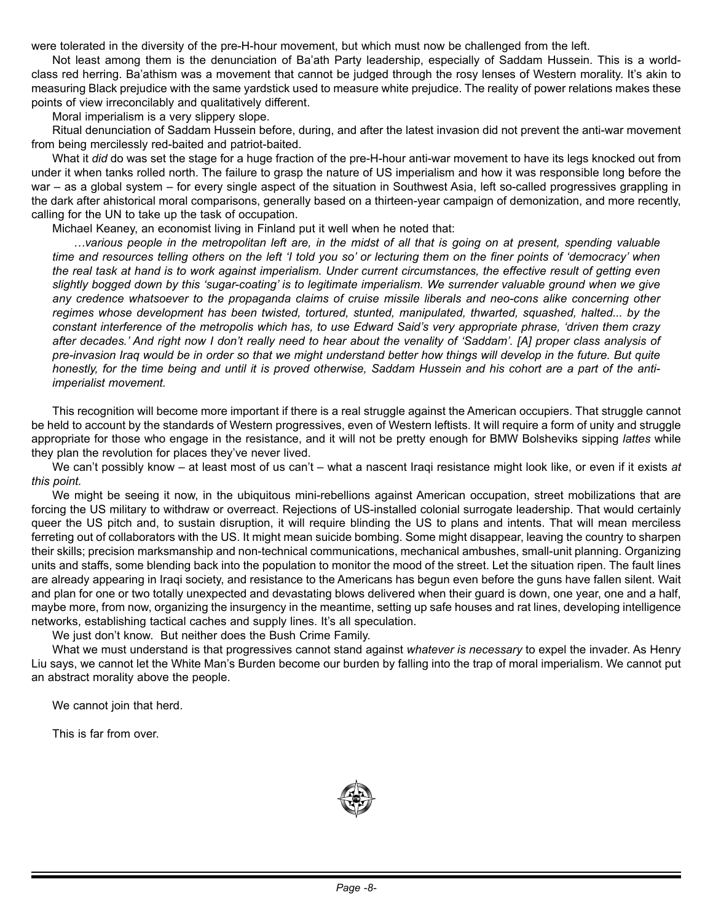were tolerated in the diversity of the pre-H-hour movement, but which must now be challenged from the left.

Not least among them is the denunciation of Ba'ath Party leadership, especially of Saddam Hussein. This is a worldclass red herring. Ba'athism was a movement that cannot be judged through the rosy lenses of Western morality. It's akin to measuring Black prejudice with the same yardstick used to measure white prejudice. The reality of power relations makes these points of view irreconcilably and qualitatively different.

Moral imperialism is a very slippery slope.

Ritual denunciation of Saddam Hussein before, during, and after the latest invasion did not prevent the anti-war movement from being mercilessly red-baited and patriot-baited.

What it *did* do was set the stage for a huge fraction of the pre-H-hour anti-war movement to have its legs knocked out from under it when tanks rolled north. The failure to grasp the nature of US imperialism and how it was responsible long before the war – as a global system – for every single aspect of the situation in Southwest Asia, left so-called progressives grappling in the dark after ahistorical moral comparisons, generally based on a thirteen-year campaign of demonization, and more recently, calling for the UN to take up the task of occupation.

Michael Keaney, an economist living in Finland put it well when he noted that:

*…various people in the metropolitan left are, in the midst of all that is going on at present, spending valuable time and resources telling others on the left 'I told you so' or lecturing them on the finer points of 'democracy' when the real task at hand is to work against imperialism. Under current circumstances, the effective result of getting even slightly bogged down by this 'sugar-coating' is to legitimate imperialism. We surrender valuable ground when we give any credence whatsoever to the propaganda claims of cruise missile liberals and neo-cons alike concerning other regimes whose development has been twisted, tortured, stunted, manipulated, thwarted, squashed, halted... by the constant interference of the metropolis which has, to use Edward Said's very appropriate phrase, 'driven them crazy after decades.' And right now I don't really need to hear about the venality of 'Saddam'. [A] proper class analysis of pre-invasion Iraq would be in order so that we might understand better how things will develop in the future. But quite honestly, for the time being and until it is proved otherwise, Saddam Hussein and his cohort are a part of the antiimperialist movement.*

This recognition will become more important if there is a real struggle against the American occupiers. That struggle cannot be held to account by the standards of Western progressives, even of Western leftists. It will require a form of unity and struggle appropriate for those who engage in the resistance, and it will not be pretty enough for BMW Bolsheviks sipping *lattes* while they plan the revolution for places they've never lived.

We can't possibly know – at least most of us can't – what a nascent Iraqi resistance might look like, or even if it exists *at this point.*

We might be seeing it now, in the ubiquitous mini-rebellions against American occupation, street mobilizations that are forcing the US military to withdraw or overreact. Rejections of US-installed colonial surrogate leadership. That would certainly queer the US pitch and, to sustain disruption, it will require blinding the US to plans and intents. That will mean merciless ferreting out of collaborators with the US. It might mean suicide bombing. Some might disappear, leaving the country to sharpen their skills; precision marksmanship and non-technical communications, mechanical ambushes, small-unit planning. Organizing units and staffs, some blending back into the population to monitor the mood of the street. Let the situation ripen. The fault lines are already appearing in Iraqi society, and resistance to the Americans has begun even before the guns have fallen silent. Wait and plan for one or two totally unexpected and devastating blows delivered when their guard is down, one year, one and a half, maybe more, from now, organizing the insurgency in the meantime, setting up safe houses and rat lines, developing intelligence networks, establishing tactical caches and supply lines. It's all speculation.

We just don't know. But neither does the Bush Crime Family.

What we must understand is that progressives cannot stand against *whatever is necessary* to expel the invader. As Henry Liu says, we cannot let the White Man's Burden become our burden by falling into the trap of moral imperialism. We cannot put an abstract morality above the people.

We cannot join that herd.

This is far from over.

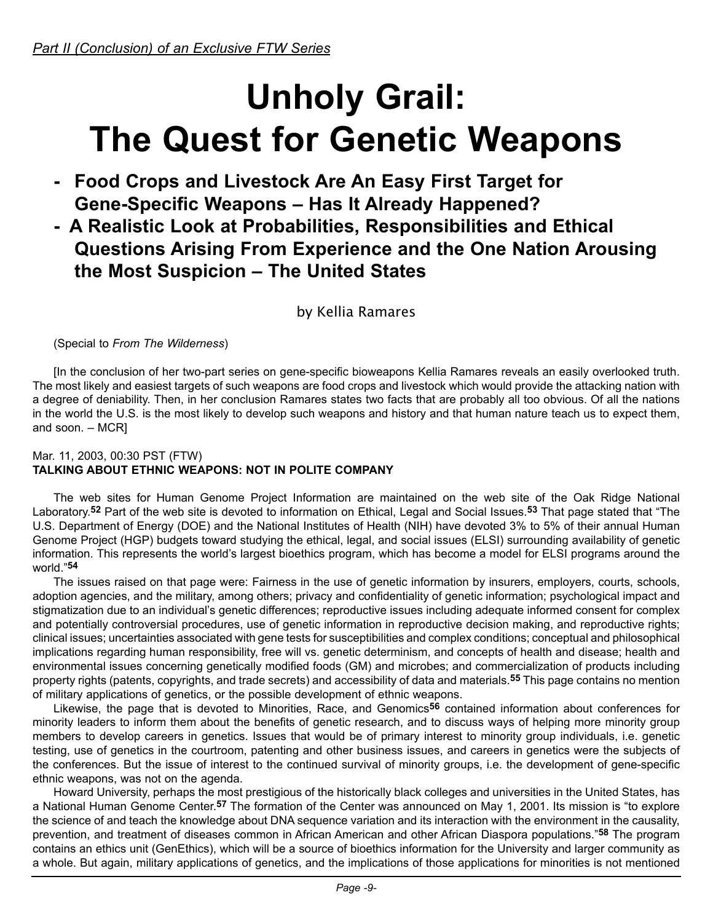# **Unholy Grail: The Quest for Genetic Weapons**

- **Food Crops and Livestock Are An Easy First Target for Gene-Specific Weapons – Has It Already Happened?**
- **A Realistic Look at Probabilities, Responsibilities and Ethical Questions Arising From Experience and the One Nation Arousing the Most Suspicion – The United States**

### by Kellia Ramares

(Special to *From The Wilderness*)

[In the conclusion of her two-part series on gene-specific bioweapons Kellia Ramares reveals an easily overlooked truth. The most likely and easiest targets of such weapons are food crops and livestock which would provide the attacking nation with a degree of deniability. Then, in her conclusion Ramares states two facts that are probably all too obvious. Of all the nations in the world the U.S. is the most likely to develop such weapons and history and that human nature teach us to expect them, and soon. – MCR]

### Mar. 11, 2003, 00:30 PST (FTW) **TALKING ABOUT ETHNIC WEAPONS: NOT IN POLITE COMPANY**

The web sites for Human Genome Project Information are maintained on the web site of the Oak Ridge National Laboratory.**52** Part of the web site is devoted to information on Ethical, Legal and Social Issues.**53** That page stated that "The U.S. Department of Energy (DOE) and the National Institutes of Health (NIH) have devoted 3% to 5% of their annual Human Genome Project (HGP) budgets toward studying the ethical, legal, and social issues (ELSI) surrounding availability of genetic information. This represents the world's largest bioethics program, which has become a model for ELSI programs around the world."**54**

The issues raised on that page were: Fairness in the use of genetic information by insurers, employers, courts, schools, adoption agencies, and the military, among others; privacy and confidentiality of genetic information; psychological impact and stigmatization due to an individual's genetic differences; reproductive issues including adequate informed consent for complex and potentially controversial procedures, use of genetic information in reproductive decision making, and reproductive rights; clinical issues; uncertainties associated with gene tests for susceptibilities and complex conditions; conceptual and philosophical implications regarding human responsibility, free will vs. genetic determinism, and concepts of health and disease; health and environmental issues concerning genetically modified foods (GM) and microbes; and commercialization of products including property rights (patents, copyrights, and trade secrets) and accessibility of data and materials.**55** This page contains no mention of military applications of genetics, or the possible development of ethnic weapons.

Likewise, the page that is devoted to Minorities, Race, and Genomics**56** contained information about conferences for minority leaders to inform them about the benefits of genetic research, and to discuss ways of helping more minority group members to develop careers in genetics. Issues that would be of primary interest to minority group individuals, i.e. genetic testing, use of genetics in the courtroom, patenting and other business issues, and careers in genetics were the subjects of the conferences. But the issue of interest to the continued survival of minority groups, i.e. the development of gene-specific ethnic weapons, was not on the agenda.

Howard University, perhaps the most prestigious of the historically black colleges and universities in the United States, has a National Human Genome Center.**57** The formation of the Center was announced on May 1, 2001. Its mission is "to explore the science of and teach the knowledge about DNA sequence variation and its interaction with the environment in the causality, prevention, and treatment of diseases common in African American and other African Diaspora populations."**58** The program contains an ethics unit (GenEthics), which will be a source of bioethics information for the University and larger community as a whole. But again, military applications of genetics, and the implications of those applications for minorities is not mentioned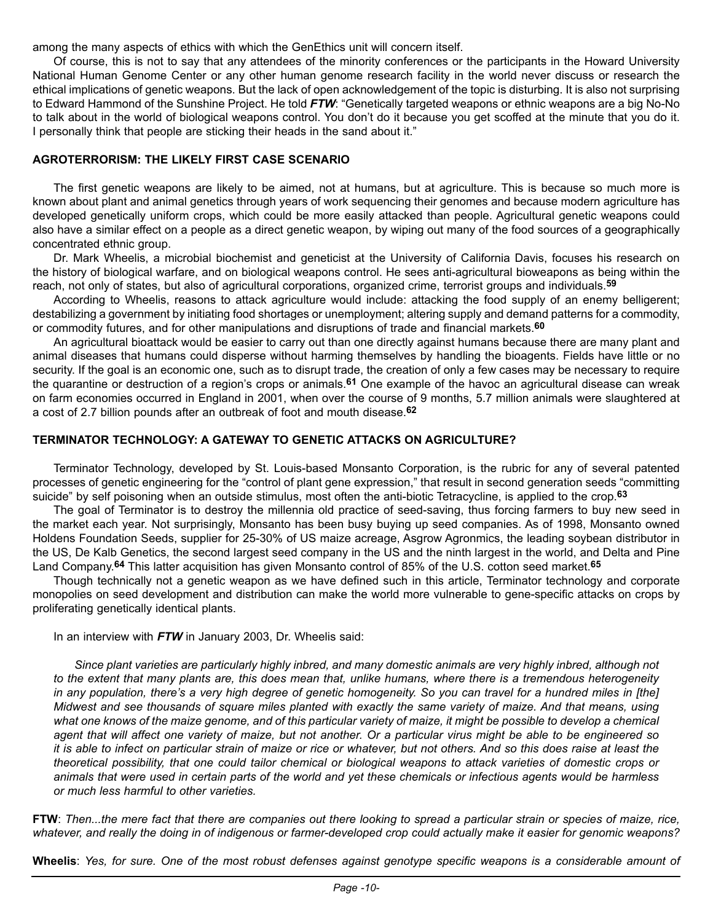among the many aspects of ethics with which the GenEthics unit will concern itself.

Of course, this is not to say that any attendees of the minority conferences or the participants in the Howard University National Human Genome Center or any other human genome research facility in the world never discuss or research the ethical implications of genetic weapons. But the lack of open acknowledgement of the topic is disturbing. It is also not surprising to Edward Hammond of the Sunshine Project. He told *FTW*: "Genetically targeted weapons or ethnic weapons are a big No-No to talk about in the world of biological weapons control. You don't do it because you get scoffed at the minute that you do it. I personally think that people are sticking their heads in the sand about it."

### **AGROTERRORISM: THE LIKELY FIRST CASE SCENARIO**

The first genetic weapons are likely to be aimed, not at humans, but at agriculture. This is because so much more is known about plant and animal genetics through years of work sequencing their genomes and because modern agriculture has developed genetically uniform crops, which could be more easily attacked than people. Agricultural genetic weapons could also have a similar effect on a people as a direct genetic weapon, by wiping out many of the food sources of a geographically concentrated ethnic group.

Dr. Mark Wheelis, a microbial biochemist and geneticist at the University of California Davis, focuses his research on the history of biological warfare, and on biological weapons control. He sees anti-agricultural bioweapons as being within the reach, not only of states, but also of agricultural corporations, organized crime, terrorist groups and individuals.**59**

According to Wheelis, reasons to attack agriculture would include: attacking the food supply of an enemy belligerent; destabilizing a government by initiating food shortages or unemployment; altering supply and demand patterns for a commodity, or commodity futures, and for other manipulations and disruptions of trade and financial markets.**60**

An agricultural bioattack would be easier to carry out than one directly against humans because there are many plant and animal diseases that humans could disperse without harming themselves by handling the bioagents. Fields have little or no security. If the goal is an economic one, such as to disrupt trade, the creation of only a few cases may be necessary to require the quarantine or destruction of a region's crops or animals.**61** One example of the havoc an agricultural disease can wreak on farm economies occurred in England in 2001, when over the course of 9 months, 5.7 million animals were slaughtered at a cost of 2.7 billion pounds after an outbreak of foot and mouth disease.**62**

### **TERMINATOR TECHNOLOGY: A GATEWAY TO GENETIC ATTACKS ON AGRICULTURE?**

Terminator Technology, developed by St. Louis-based Monsanto Corporation, is the rubric for any of several patented processes of genetic engineering for the "control of plant gene expression," that result in second generation seeds "committing suicide" by self poisoning when an outside stimulus, most often the anti-biotic Tetracycline, is applied to the crop.**63**

The goal of Terminator is to destroy the millennia old practice of seed-saving, thus forcing farmers to buy new seed in the market each year. Not surprisingly, Monsanto has been busy buying up seed companies. As of 1998, Monsanto owned Holdens Foundation Seeds, supplier for 25-30% of US maize acreage, Asgrow Agronmics, the leading soybean distributor in the US, De Kalb Genetics, the second largest seed company in the US and the ninth largest in the world, and Delta and Pine Land Company.**64** This latter acquisition has given Monsanto control of 85% of the U.S. cotton seed market.**65**

Though technically not a genetic weapon as we have defined such in this article, Terminator technology and corporate monopolies on seed development and distribution can make the world more vulnerable to gene-specific attacks on crops by proliferating genetically identical plants.

In an interview with *FTW* in January 2003, Dr. Wheelis said:

*Since plant varieties are particularly highly inbred, and many domestic animals are very highly inbred, although not to the extent that many plants are, this does mean that, unlike humans, where there is a tremendous heterogeneity*  in any population, there's a very high degree of genetic homogeneity. So you can travel for a hundred miles in [the] *Midwest and see thousands of square miles planted with exactly the same variety of maize. And that means, using what one knows of the maize genome, and of this particular variety of maize, it might be possible to develop a chemical agent that will affect one variety of maize, but not another. Or a particular virus might be able to be engineered so it is able to infect on particular strain of maize or rice or whatever, but not others. And so this does raise at least the theoretical possibility, that one could tailor chemical or biological weapons to attack varieties of domestic crops or animals that were used in certain parts of the world and yet these chemicals or infectious agents would be harmless or much less harmful to other varieties.* 

**FTW**: *Then...the mere fact that there are companies out there looking to spread a particular strain or species of maize, rice, whatever, and really the doing in of indigenous or farmer-developed crop could actually make it easier for genomic weapons?*

**Wheelis**: *Yes, for sure. One of the most robust defenses against genotype specific weapons is a considerable amount of*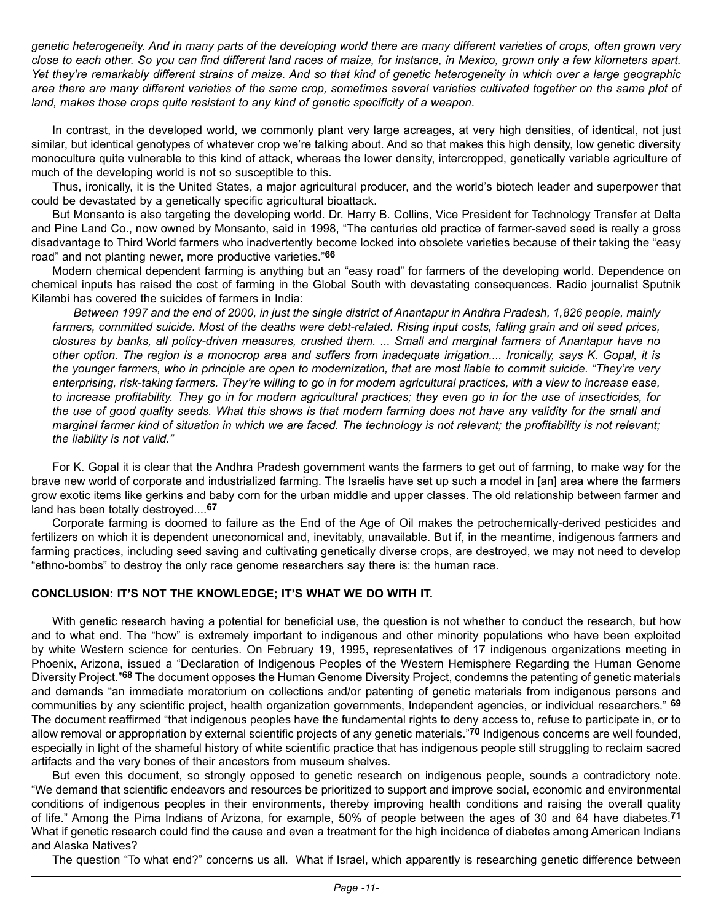*genetic heterogeneity. And in many parts of the developing world there are many different varieties of crops, often grown very close to each other. So you can find different land races of maize, for instance, in Mexico, grown only a few kilometers apart. Yet they're remarkably different strains of maize. And so that kind of genetic heterogeneity in which over a large geographic area there are many different varieties of the same crop, sometimes several varieties cultivated together on the same plot of land, makes those crops quite resistant to any kind of genetic specificity of a weapon.*

In contrast, in the developed world, we commonly plant very large acreages, at very high densities, of identical, not just similar, but identical genotypes of whatever crop we're talking about. And so that makes this high density, low genetic diversity monoculture quite vulnerable to this kind of attack, whereas the lower density, intercropped, genetically variable agriculture of much of the developing world is not so susceptible to this.

Thus, ironically, it is the United States, a major agricultural producer, and the world's biotech leader and superpower that could be devastated by a genetically specific agricultural bioattack.

But Monsanto is also targeting the developing world. Dr. Harry B. Collins, Vice President for Technology Transfer at Delta and Pine Land Co., now owned by Monsanto, said in 1998, "The centuries old practice of farmer-saved seed is really a gross disadvantage to Third World farmers who inadvertently become locked into obsolete varieties because of their taking the "easy road" and not planting newer, more productive varieties."**66**

Modern chemical dependent farming is anything but an "easy road" for farmers of the developing world. Dependence on chemical inputs has raised the cost of farming in the Global South with devastating consequences. Radio journalist Sputnik Kilambi has covered the suicides of farmers in India:

*Between 1997 and the end of 2000, in just the single district of Anantapur in Andhra Pradesh, 1,826 people, mainly*  farmers, committed suicide. Most of the deaths were debt-related. Rising input costs, falling grain and oil seed prices, *closures by banks, all policy-driven measures, crushed them. ... Small and marginal farmers of Anantapur have no other option. The region is a monocrop area and suffers from inadequate irrigation.... Ironically, says K. Gopal, it is the younger farmers, who in principle are open to modernization, that are most liable to commit suicide. "They're very enterprising, risk-taking farmers. They're willing to go in for modern agricultural practices, with a view to increase ease, to increase profitability. They go in for modern agricultural practices; they even go in for the use of insecticides, for the use of good quality seeds. What this shows is that modern farming does not have any validity for the small and marginal farmer kind of situation in which we are faced. The technology is not relevant; the profitability is not relevant; the liability is not valid."*

For K. Gopal it is clear that the Andhra Pradesh government wants the farmers to get out of farming, to make way for the brave new world of corporate and industrialized farming. The Israelis have set up such a model in [an] area where the farmers grow exotic items like gerkins and baby corn for the urban middle and upper classes. The old relationship between farmer and land has been totally destroyed....**67**

Corporate farming is doomed to failure as the End of the Age of Oil makes the petrochemically-derived pesticides and fertilizers on which it is dependent uneconomical and, inevitably, unavailable. But if, in the meantime, indigenous farmers and farming practices, including seed saving and cultivating genetically diverse crops, are destroyed, we may not need to develop "ethno-bombs" to destroy the only race genome researchers say there is: the human race.

### **CONCLUSION: IT'S NOT THE KNOWLEDGE; IT'S WHAT WE DO WITH IT.**

With genetic research having a potential for beneficial use, the question is not whether to conduct the research, but how and to what end. The "how" is extremely important to indigenous and other minority populations who have been exploited by white Western science for centuries. On February 19, 1995, representatives of 17 indigenous organizations meeting in Phoenix, Arizona, issued a "Declaration of Indigenous Peoples of the Western Hemisphere Regarding the Human Genome Diversity Project."**68** The document opposes the Human Genome Diversity Project, condemns the patenting of genetic materials and demands "an immediate moratorium on collections and/or patenting of genetic materials from indigenous persons and communities by any scientific project, health organization governments, Independent agencies, or individual researchers." **69** The document reaffirmed "that indigenous peoples have the fundamental rights to deny access to, refuse to participate in, or to allow removal or appropriation by external scientific projects of any genetic materials."**70** Indigenous concerns are well founded, especially in light of the shameful history of white scientific practice that has indigenous people still struggling to reclaim sacred artifacts and the very bones of their ancestors from museum shelves.

But even this document, so strongly opposed to genetic research on indigenous people, sounds a contradictory note. "We demand that scientific endeavors and resources be prioritized to support and improve social, economic and environmental conditions of indigenous peoples in their environments, thereby improving health conditions and raising the overall quality of life." Among the Pima Indians of Arizona, for example, 50% of people between the ages of 30 and 64 have diabetes.**71** What if genetic research could find the cause and even a treatment for the high incidence of diabetes among American Indians and Alaska Natives?

The question "To what end?" concerns us all. What if Israel, which apparently is researching genetic difference between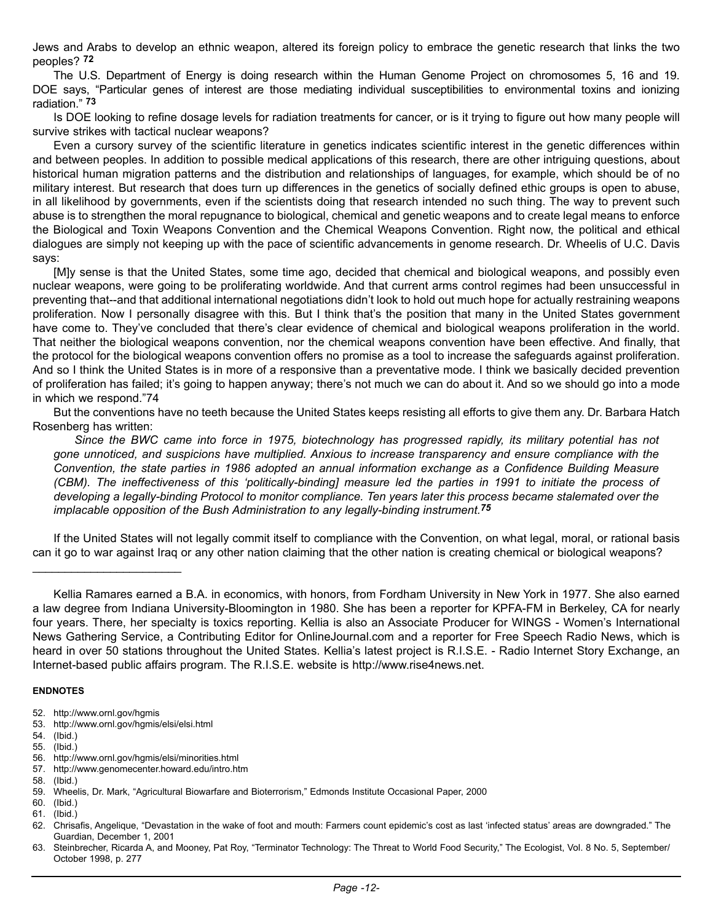Jews and Arabs to develop an ethnic weapon, altered its foreign policy to embrace the genetic research that links the two peoples? **72**

The U.S. Department of Energy is doing research within the Human Genome Project on chromosomes 5, 16 and 19. DOE says, "Particular genes of interest are those mediating individual susceptibilities to environmental toxins and ionizing radiation." **73**

Is DOE looking to refine dosage levels for radiation treatments for cancer, or is it trying to figure out how many people will survive strikes with tactical nuclear weapons?

Even a cursory survey of the scientific literature in genetics indicates scientific interest in the genetic differences within and between peoples. In addition to possible medical applications of this research, there are other intriguing questions, about historical human migration patterns and the distribution and relationships of languages, for example, which should be of no military interest. But research that does turn up differences in the genetics of socially defined ethic groups is open to abuse, in all likelihood by governments, even if the scientists doing that research intended no such thing. The way to prevent such abuse is to strengthen the moral repugnance to biological, chemical and genetic weapons and to create legal means to enforce the Biological and Toxin Weapons Convention and the Chemical Weapons Convention. Right now, the political and ethical dialogues are simply not keeping up with the pace of scientific advancements in genome research. Dr. Wheelis of U.C. Davis says:

[M]y sense is that the United States, some time ago, decided that chemical and biological weapons, and possibly even nuclear weapons, were going to be proliferating worldwide. And that current arms control regimes had been unsuccessful in preventing that--and that additional international negotiations didn't look to hold out much hope for actually restraining weapons proliferation. Now I personally disagree with this. But I think that's the position that many in the United States government have come to. They've concluded that there's clear evidence of chemical and biological weapons proliferation in the world. That neither the biological weapons convention, nor the chemical weapons convention have been effective. And finally, that the protocol for the biological weapons convention offers no promise as a tool to increase the safeguards against proliferation. And so I think the United States is in more of a responsive than a preventative mode. I think we basically decided prevention of proliferation has failed; it's going to happen anyway; there's not much we can do about it. And so we should go into a mode in which we respond."74

But the conventions have no teeth because the United States keeps resisting all efforts to give them any. Dr. Barbara Hatch Rosenberg has written:

*Since the BWC came into force in 1975, biotechnology has progressed rapidly, its military potential has not gone unnoticed, and suspicions have multiplied. Anxious to increase transparency and ensure compliance with the Convention, the state parties in 1986 adopted an annual information exchange as a Confidence Building Measure (CBM). The ineffectiveness of this 'politically-binding] measure led the parties in 1991 to initiate the process of developing a legally-binding Protocol to monitor compliance. Ten years later this process became stalemated over the implacable opposition of the Bush Administration to any legally-binding instrument.75*

If the United States will not legally commit itself to compliance with the Convention, on what legal, moral, or rational basis can it go to war against Iraq or any other nation claiming that the other nation is creating chemical or biological weapons?

#### **ENDNOTES**

 $\overline{\phantom{a}}$  , where  $\overline{\phantom{a}}$  , where  $\overline{\phantom{a}}$  , where  $\overline{\phantom{a}}$ 

- 55. (Ibid.)
- 56. <http://www.ornl.gov/hgmis/elsi/minorities.html>
- 57. <http://www.genomecenter.howard.edu/intro.htm>
- 58. (Ibid.)

60. (Ibid.)

Kellia Ramares earned a B.A. in economics, with honors, from Fordham University in New York in 1977. She also earned a law degree from Indiana University-Bloomington in 1980. She has been a reporter for KPFA-FM in Berkeley, CA for nearly four years. There, her specialty is toxics reporting. Kellia is also an Associate Producer for WINGS - Women's International News Gathering Service, a Contributing Editor for OnlineJournal.com and a reporter for Free Speech Radio News, which is heard in over 50 stations throughout the United States. Kellia's latest project is R.I.S.E. - Radio Internet Story Exchange, an Internet-based public affairs program. The R.I.S.E. website is <http://www.rise4news.net>.

<sup>52.</sup> <http://www.ornl.gov/hgmis>

<sup>53.</sup> <http://www.ornl.gov/hgmis/elsi/elsi.html>

<sup>54. (</sup>Ibid.)

<sup>59.</sup> Wheelis, Dr. Mark, "Agricultural Biowarfare and Bioterrorism," Edmonds Institute Occasional Paper, 2000

<sup>61. (</sup>Ibid.)

<sup>62.</sup> Chrisafis, Angelique, "Devastation in the wake of foot and mouth: Farmers count epidemic's cost as last 'infected status' areas are downgraded." The Guardian, December 1, 2001

<sup>63.</sup> Steinbrecher, Ricarda A, and Mooney, Pat Roy, "Terminator Technology: The Threat to World Food Security," The Ecologist, Vol. 8 No. 5, September/ October 1998, p. 277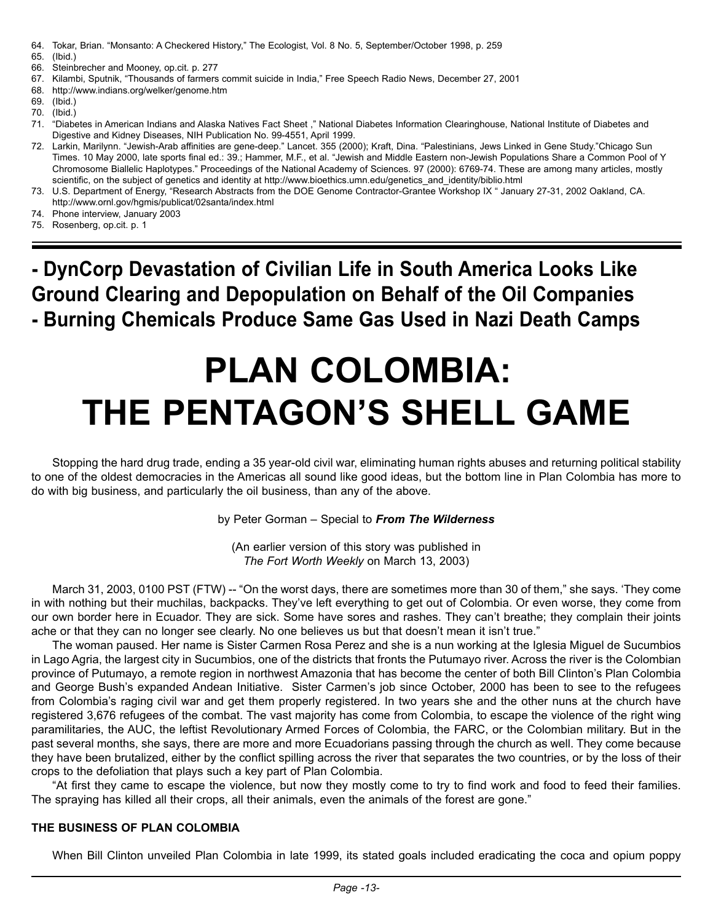- 64. Tokar, Brian. "Monsanto: A Checkered History," The Ecologist, Vol. 8 No. 5, September/October 1998, p. 259
- 65. (Ibid.)
- 66. Steinbrecher and Mooney, op.cit. p. 277
- 67. Kilambi, Sputnik, "Thousands of farmers commit suicide in India," Free Speech Radio News, December 27, 2001
- 68. <http://www.indians.org/welker/genome.htm>
- 69. (Ibid.)
- 70. (Ibid.)
- 71. "Diabetes in American Indians and Alaska Natives Fact Sheet ," National Diabetes Information Clearinghouse, National Institute of Diabetes and Digestive and Kidney Diseases, NIH Publication No. 99-4551, April 1999.
- 72. Larkin, Marilynn. "Jewish-Arab affinities are gene-deep." Lancet. 355 (2000); Kraft, Dina. "Palestinians, Jews Linked in Gene Study."Chicago Sun Times. 10 May 2000, late sports final ed.: 39.; Hammer, M.F., et al. "Jewish and Middle Eastern non-Jewish Populations Share a Common Pool of Y Chromosome Biallelic Haplotypes." Proceedings of the National Academy of Sciences. 97 (2000): 6769-74. These are among many articles, mostly scientific, on the subject of genetics and identity at [http://www.bioethics.umn.edu/genetics\\_and\\_identity/biblio.html](http://www.bioethics.umn.edu/genetics_and_identity/biblio.html)
- 73. U.S. Department of Energy, "Research Abstracts from the DOE Genome Contractor-Grantee Workshop IX " January 27-31, 2002 Oakland, CA. <http://www.ornl.gov/hgmis/publicat/02santa/index.html>
- 74. Phone interview, January 2003
- 75. Rosenberg, op.cit. p. 1

**- DynCorp Devastation of Civilian Life in South America Looks Like Ground Clearing and Depopulation on Behalf of the Oil Companies - Burning Chemicals Produce Same Gas Used in Nazi Death Camps**

# **PLAN COLOMBIA: THE PENTAGON'S SHELL GAME**

Stopping the hard drug trade, ending a 35 year-old civil war, eliminating human rights abuses and returning political stability to one of the oldest democracies in the Americas all sound like good ideas, but the bottom line in Plan Colombia has more to do with big business, and particularly the oil business, than any of the above.

by Peter Gorman – Special to *From The Wilderness*

(An earlier version of this story was published in *The Fort Worth Weekly* on March 13, 2003)

March 31, 2003, 0100 PST (FTW) -- "On the worst days, there are sometimes more than 30 of them," she says. 'They come in with nothing but their muchilas, backpacks. They've left everything to get out of Colombia. Or even worse, they come from our own border here in Ecuador. They are sick. Some have sores and rashes. They can't breathe; they complain their joints ache or that they can no longer see clearly. No one believes us but that doesn't mean it isn't true."

The woman paused. Her name is Sister Carmen Rosa Perez and she is a nun working at the Iglesia Miguel de Sucumbios in Lago Agria, the largest city in Sucumbios, one of the districts that fronts the Putumayo river. Across the river is the Colombian province of Putumayo, a remote region in northwest Amazonia that has become the center of both Bill Clinton's Plan Colombia and George Bush's expanded Andean Initiative. Sister Carmen's job since October, 2000 has been to see to the refugees from Colombia's raging civil war and get them properly registered. In two years she and the other nuns at the church have registered 3,676 refugees of the combat. The vast majority has come from Colombia, to escape the violence of the right wing paramilitaries, the AUC, the leftist Revolutionary Armed Forces of Colombia, the FARC, or the Colombian military. But in the past several months, she says, there are more and more Ecuadorians passing through the church as well. They come because they have been brutalized, either by the conflict spilling across the river that separates the two countries, or by the loss of their crops to the defoliation that plays such a key part of Plan Colombia.

"At first they came to escape the violence, but now they mostly come to try to find work and food to feed their families. The spraying has killed all their crops, all their animals, even the animals of the forest are gone."

### **THE BUSINESS OF PLAN COLOMBIA**

When Bill Clinton unveiled Plan Colombia in late 1999, its stated goals included eradicating the coca and opium poppy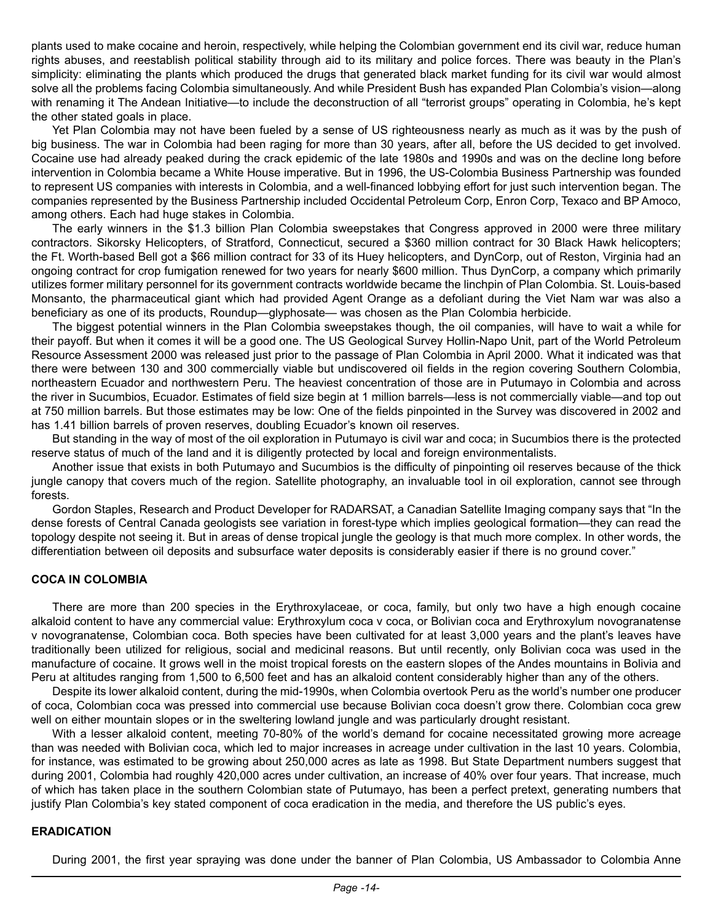plants used to make cocaine and heroin, respectively, while helping the Colombian government end its civil war, reduce human rights abuses, and reestablish political stability through aid to its military and police forces. There was beauty in the Plan's simplicity: eliminating the plants which produced the drugs that generated black market funding for its civil war would almost solve all the problems facing Colombia simultaneously. And while President Bush has expanded Plan Colombia's vision—along with renaming it The Andean Initiative—to include the deconstruction of all "terrorist groups" operating in Colombia, he's kept the other stated goals in place.

Yet Plan Colombia may not have been fueled by a sense of US righteousness nearly as much as it was by the push of big business. The war in Colombia had been raging for more than 30 years, after all, before the US decided to get involved. Cocaine use had already peaked during the crack epidemic of the late 1980s and 1990s and was on the decline long before intervention in Colombia became a White House imperative. But in 1996, the US-Colombia Business Partnership was founded to represent US companies with interests in Colombia, and a well-financed lobbying effort for just such intervention began. The companies represented by the Business Partnership included Occidental Petroleum Corp, Enron Corp, Texaco and BP Amoco, among others. Each had huge stakes in Colombia.

The early winners in the \$1.3 billion Plan Colombia sweepstakes that Congress approved in 2000 were three military contractors. Sikorsky Helicopters, of Stratford, Connecticut, secured a \$360 million contract for 30 Black Hawk helicopters; the Ft. Worth-based Bell got a \$66 million contract for 33 of its Huey helicopters, and DynCorp, out of Reston, Virginia had an ongoing contract for crop fumigation renewed for two years for nearly \$600 million. Thus DynCorp, a company which primarily utilizes former military personnel for its government contracts worldwide became the linchpin of Plan Colombia. St. Louis-based Monsanto, the pharmaceutical giant which had provided Agent Orange as a defoliant during the Viet Nam war was also a beneficiary as one of its products, Roundup—glyphosate— was chosen as the Plan Colombia herbicide.

The biggest potential winners in the Plan Colombia sweepstakes though, the oil companies, will have to wait a while for their payoff. But when it comes it will be a good one. The US Geological Survey Hollin-Napo Unit, part of the World Petroleum Resource Assessment 2000 was released just prior to the passage of Plan Colombia in April 2000. What it indicated was that there were between 130 and 300 commercially viable but undiscovered oil fields in the region covering Southern Colombia, northeastern Ecuador and northwestern Peru. The heaviest concentration of those are in Putumayo in Colombia and across the river in Sucumbios, Ecuador. Estimates of field size begin at 1 million barrels—less is not commercially viable—and top out at 750 million barrels. But those estimates may be low: One of the fields pinpointed in the Survey was discovered in 2002 and has 1.41 billion barrels of proven reserves, doubling Ecuador's known oil reserves.

But standing in the way of most of the oil exploration in Putumayo is civil war and coca; in Sucumbios there is the protected reserve status of much of the land and it is diligently protected by local and foreign environmentalists.

Another issue that exists in both Putumayo and Sucumbios is the difficulty of pinpointing oil reserves because of the thick jungle canopy that covers much of the region. Satellite photography, an invaluable tool in oil exploration, cannot see through forests.

Gordon Staples, Research and Product Developer for RADARSAT, a Canadian Satellite Imaging company says that "In the dense forests of Central Canada geologists see variation in forest-type which implies geological formation—they can read the topology despite not seeing it. But in areas of dense tropical jungle the geology is that much more complex. In other words, the differentiation between oil deposits and subsurface water deposits is considerably easier if there is no ground cover."

### **COCA IN COLOMBIA**

There are more than 200 species in the Erythroxylaceae, or coca, family, but only two have a high enough cocaine alkaloid content to have any commercial value: Erythroxylum coca v coca, or Bolivian coca and Erythroxylum novogranatense v novogranatense, Colombian coca. Both species have been cultivated for at least 3,000 years and the plant's leaves have traditionally been utilized for religious, social and medicinal reasons. But until recently, only Bolivian coca was used in the manufacture of cocaine. It grows well in the moist tropical forests on the eastern slopes of the Andes mountains in Bolivia and Peru at altitudes ranging from 1,500 to 6,500 feet and has an alkaloid content considerably higher than any of the others.

Despite its lower alkaloid content, during the mid-1990s, when Colombia overtook Peru as the world's number one producer of coca, Colombian coca was pressed into commercial use because Bolivian coca doesn't grow there. Colombian coca grew well on either mountain slopes or in the sweltering lowland jungle and was particularly drought resistant.

With a lesser alkaloid content, meeting 70-80% of the world's demand for cocaine necessitated growing more acreage than was needed with Bolivian coca, which led to major increases in acreage under cultivation in the last 10 years. Colombia, for instance, was estimated to be growing about 250,000 acres as late as 1998. But State Department numbers suggest that during 2001, Colombia had roughly 420,000 acres under cultivation, an increase of 40% over four years. That increase, much of which has taken place in the southern Colombian state of Putumayo, has been a perfect pretext, generating numbers that justify Plan Colombia's key stated component of coca eradication in the media, and therefore the US public's eyes.

### **ERADICATION**

During 2001, the first year spraying was done under the banner of Plan Colombia, US Ambassador to Colombia Anne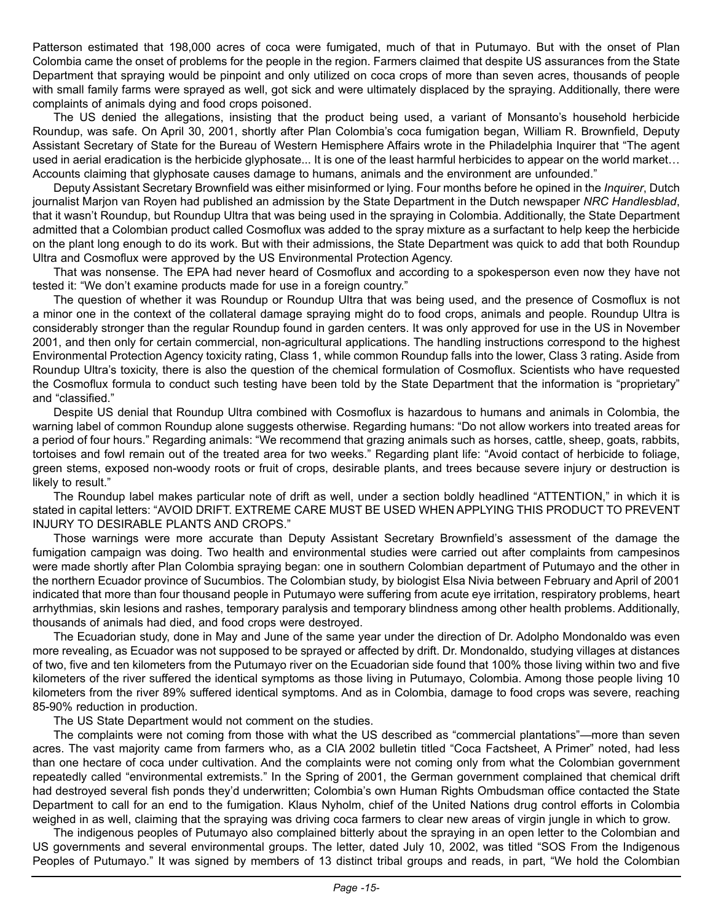Patterson estimated that 198,000 acres of coca were fumigated, much of that in Putumayo. But with the onset of Plan Colombia came the onset of problems for the people in the region. Farmers claimed that despite US assurances from the State Department that spraying would be pinpoint and only utilized on coca crops of more than seven acres, thousands of people with small family farms were sprayed as well, got sick and were ultimately displaced by the spraying. Additionally, there were complaints of animals dying and food crops poisoned.

The US denied the allegations, insisting that the product being used, a variant of Monsanto's household herbicide Roundup, was safe. On April 30, 2001, shortly after Plan Colombia's coca fumigation began, William R. Brownfield, Deputy Assistant Secretary of State for the Bureau of Western Hemisphere Affairs wrote in the Philadelphia Inquirer that "The agent used in aerial eradication is the herbicide glyphosate... It is one of the least harmful herbicides to appear on the world market… Accounts claiming that glyphosate causes damage to humans, animals and the environment are unfounded."

Deputy Assistant Secretary Brownfield was either misinformed or lying. Four months before he opined in the *Inquirer*, Dutch journalist Marjon van Royen had published an admission by the State Department in the Dutch newspaper *NRC Handlesblad*, that it wasn't Roundup, but Roundup Ultra that was being used in the spraying in Colombia. Additionally, the State Department admitted that a Colombian product called Cosmoflux was added to the spray mixture as a surfactant to help keep the herbicide on the plant long enough to do its work. But with their admissions, the State Department was quick to add that both Roundup Ultra and Cosmoflux were approved by the US Environmental Protection Agency.

That was nonsense. The EPA had never heard of Cosmoflux and according to a spokesperson even now they have not tested it: "We don't examine products made for use in a foreign country."

The question of whether it was Roundup or Roundup Ultra that was being used, and the presence of Cosmoflux is not a minor one in the context of the collateral damage spraying might do to food crops, animals and people. Roundup Ultra is considerably stronger than the regular Roundup found in garden centers. It was only approved for use in the US in November 2001, and then only for certain commercial, non-agricultural applications. The handling instructions correspond to the highest Environmental Protection Agency toxicity rating, Class 1, while common Roundup falls into the lower, Class 3 rating. Aside from Roundup Ultra's toxicity, there is also the question of the chemical formulation of Cosmoflux. Scientists who have requested the Cosmoflux formula to conduct such testing have been told by the State Department that the information is "proprietary" and "classified."

Despite US denial that Roundup Ultra combined with Cosmoflux is hazardous to humans and animals in Colombia, the warning label of common Roundup alone suggests otherwise. Regarding humans: "Do not allow workers into treated areas for a period of four hours." Regarding animals: "We recommend that grazing animals such as horses, cattle, sheep, goats, rabbits, tortoises and fowl remain out of the treated area for two weeks." Regarding plant life: "Avoid contact of herbicide to foliage, green stems, exposed non-woody roots or fruit of crops, desirable plants, and trees because severe injury or destruction is likely to result."

The Roundup label makes particular note of drift as well, under a section boldly headlined "ATTENTION," in which it is stated in capital letters: "AVOID DRIFT. EXTREME CARE MUST BE USED WHEN APPLYING THIS PRODUCT TO PREVENT INJURY TO DESIRABLE PLANTS AND CROPS."

Those warnings were more accurate than Deputy Assistant Secretary Brownfield's assessment of the damage the fumigation campaign was doing. Two health and environmental studies were carried out after complaints from campesinos were made shortly after Plan Colombia spraying began: one in southern Colombian department of Putumayo and the other in the northern Ecuador province of Sucumbios. The Colombian study, by biologist Elsa Nivia between February and April of 2001 indicated that more than four thousand people in Putumayo were suffering from acute eye irritation, respiratory problems, heart arrhythmias, skin lesions and rashes, temporary paralysis and temporary blindness among other health problems. Additionally, thousands of animals had died, and food crops were destroyed.

The Ecuadorian study, done in May and June of the same year under the direction of Dr. Adolpho Mondonaldo was even more revealing, as Ecuador was not supposed to be sprayed or affected by drift. Dr. Mondonaldo, studying villages at distances of two, five and ten kilometers from the Putumayo river on the Ecuadorian side found that 100% those living within two and five kilometers of the river suffered the identical symptoms as those living in Putumayo, Colombia. Among those people living 10 kilometers from the river 89% suffered identical symptoms. And as in Colombia, damage to food crops was severe, reaching 85-90% reduction in production.

The US State Department would not comment on the studies.

The complaints were not coming from those with what the US described as "commercial plantations"—more than seven acres. The vast majority came from farmers who, as a CIA 2002 bulletin titled "Coca Factsheet, A Primer" noted, had less than one hectare of coca under cultivation. And the complaints were not coming only from what the Colombian government repeatedly called "environmental extremists." In the Spring of 2001, the German government complained that chemical drift had destroyed several fish ponds they'd underwritten; Colombia's own Human Rights Ombudsman office contacted the State Department to call for an end to the fumigation. Klaus Nyholm, chief of the United Nations drug control efforts in Colombia weighed in as well, claiming that the spraying was driving coca farmers to clear new areas of virgin jungle in which to grow.

The indigenous peoples of Putumayo also complained bitterly about the spraying in an open letter to the Colombian and US governments and several environmental groups. The letter, dated July 10, 2002, was titled "SOS From the Indigenous Peoples of Putumayo." It was signed by members of 13 distinct tribal groups and reads, in part, "We hold the Colombian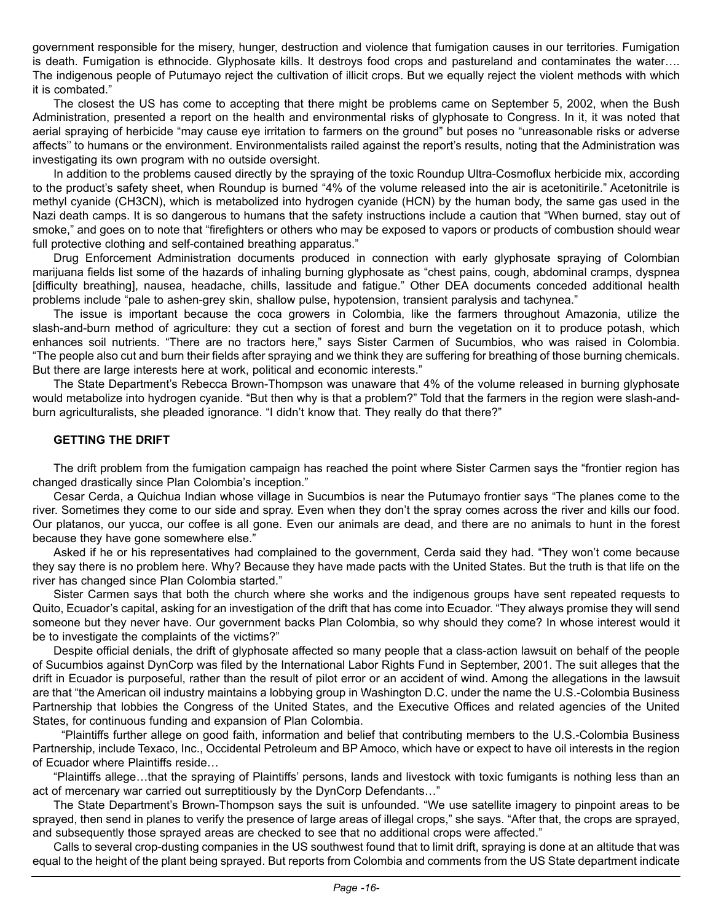government responsible for the misery, hunger, destruction and violence that fumigation causes in our territories. Fumigation is death. Fumigation is ethnocide. Glyphosate kills. It destroys food crops and pastureland and contaminates the water…. The indigenous people of Putumayo reject the cultivation of illicit crops. But we equally reject the violent methods with which it is combated."

The closest the US has come to accepting that there might be problems came on September 5, 2002, when the Bush Administration, presented a report on the health and environmental risks of glyphosate to Congress. In it, it was noted that aerial spraying of herbicide "may cause eye irritation to farmers on the ground" but poses no "unreasonable risks or adverse affects'' to humans or the environment. Environmentalists railed against the report's results, noting that the Administration was investigating its own program with no outside oversight.

In addition to the problems caused directly by the spraying of the toxic Roundup Ultra-Cosmoflux herbicide mix, according to the product's safety sheet, when Roundup is burned "4% of the volume released into the air is acetonitirile." Acetonitrile is methyl cyanide (CH3CN), which is metabolized into hydrogen cyanide (HCN) by the human body, the same gas used in the Nazi death camps. It is so dangerous to humans that the safety instructions include a caution that "When burned, stay out of smoke," and goes on to note that "firefighters or others who may be exposed to vapors or products of combustion should wear full protective clothing and self-contained breathing apparatus."

Drug Enforcement Administration documents produced in connection with early glyphosate spraying of Colombian marijuana fields list some of the hazards of inhaling burning glyphosate as "chest pains, cough, abdominal cramps, dyspnea [difficulty breathing], nausea, headache, chills, lassitude and fatigue." Other DEA documents conceded additional health problems include "pale to ashen-grey skin, shallow pulse, hypotension, transient paralysis and tachynea."

The issue is important because the coca growers in Colombia, like the farmers throughout Amazonia, utilize the slash-and-burn method of agriculture: they cut a section of forest and burn the vegetation on it to produce potash, which enhances soil nutrients. "There are no tractors here," says Sister Carmen of Sucumbios, who was raised in Colombia. "The people also cut and burn their fields after spraying and we think they are suffering for breathing of those burning chemicals. But there are large interests here at work, political and economic interests."

The State Department's Rebecca Brown-Thompson was unaware that 4% of the volume released in burning glyphosate would metabolize into hydrogen cyanide. "But then why is that a problem?" Told that the farmers in the region were slash-andburn agriculturalists, she pleaded ignorance. "I didn't know that. They really do that there?"

### **GETTING THE DRIFT**

The drift problem from the fumigation campaign has reached the point where Sister Carmen says the "frontier region has changed drastically since Plan Colombia's inception."

Cesar Cerda, a Quichua Indian whose village in Sucumbios is near the Putumayo frontier says "The planes come to the river. Sometimes they come to our side and spray. Even when they don't the spray comes across the river and kills our food. Our platanos, our yucca, our coffee is all gone. Even our animals are dead, and there are no animals to hunt in the forest because they have gone somewhere else."

Asked if he or his representatives had complained to the government, Cerda said they had. "They won't come because they say there is no problem here. Why? Because they have made pacts with the United States. But the truth is that life on the river has changed since Plan Colombia started."

Sister Carmen says that both the church where she works and the indigenous groups have sent repeated requests to Quito, Ecuador's capital, asking for an investigation of the drift that has come into Ecuador. "They always promise they will send someone but they never have. Our government backs Plan Colombia, so why should they come? In whose interest would it be to investigate the complaints of the victims?"

Despite official denials, the drift of glyphosate affected so many people that a class-action lawsuit on behalf of the people of Sucumbios against DynCorp was filed by the International Labor Rights Fund in September, 2001. The suit alleges that the drift in Ecuador is purposeful, rather than the result of pilot error or an accident of wind. Among the allegations in the lawsuit are that "the American oil industry maintains a lobbying group in Washington D.C. under the name the U.S.-Colombia Business Partnership that lobbies the Congress of the United States, and the Executive Offices and related agencies of the United States, for continuous funding and expansion of Plan Colombia.

 "Plaintiffs further allege on good faith, information and belief that contributing members to the U.S.-Colombia Business Partnership, include Texaco, Inc., Occidental Petroleum and BP Amoco, which have or expect to have oil interests in the region of Ecuador where Plaintiffs reside…

"Plaintiffs allege…that the spraying of Plaintiffs' persons, lands and livestock with toxic fumigants is nothing less than an act of mercenary war carried out surreptitiously by the DynCorp Defendants…"

The State Department's Brown-Thompson says the suit is unfounded. "We use satellite imagery to pinpoint areas to be sprayed, then send in planes to verify the presence of large areas of illegal crops," she says. "After that, the crops are sprayed, and subsequently those sprayed areas are checked to see that no additional crops were affected."

Calls to several crop-dusting companies in the US southwest found that to limit drift, spraying is done at an altitude that was equal to the height of the plant being sprayed. But reports from Colombia and comments from the US State department indicate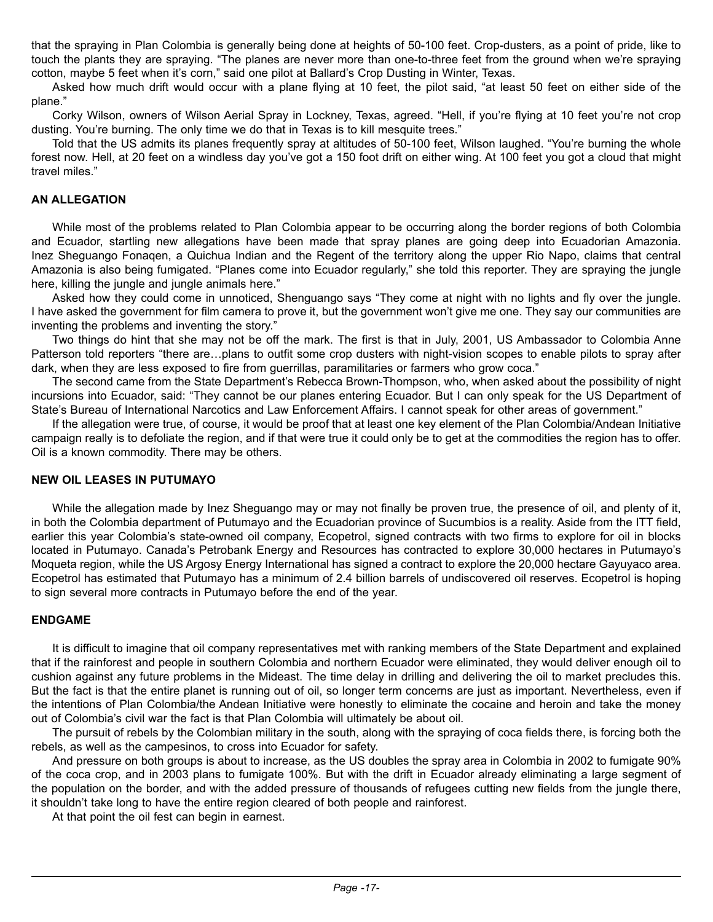that the spraying in Plan Colombia is generally being done at heights of 50-100 feet. Crop-dusters, as a point of pride, like to touch the plants they are spraying. "The planes are never more than one-to-three feet from the ground when we're spraying cotton, maybe 5 feet when it's corn," said one pilot at Ballard's Crop Dusting in Winter, Texas.

Asked how much drift would occur with a plane flying at 10 feet, the pilot said, "at least 50 feet on either side of the plane."

Corky Wilson, owners of Wilson Aerial Spray in Lockney, Texas, agreed. "Hell, if you're flying at 10 feet you're not crop dusting. You're burning. The only time we do that in Texas is to kill mesquite trees."

Told that the US admits its planes frequently spray at altitudes of 50-100 feet, Wilson laughed. "You're burning the whole forest now. Hell, at 20 feet on a windless day you've got a 150 foot drift on either wing. At 100 feet you got a cloud that might travel miles."

### **AN ALLEGATION**

While most of the problems related to Plan Colombia appear to be occurring along the border regions of both Colombia and Ecuador, startling new allegations have been made that spray planes are going deep into Ecuadorian Amazonia. Inez Sheguango Fonaqen, a Quichua Indian and the Regent of the territory along the upper Rio Napo, claims that central Amazonia is also being fumigated. "Planes come into Ecuador regularly," she told this reporter. They are spraying the jungle here, killing the jungle and jungle animals here."

Asked how they could come in unnoticed, Shenguango says "They come at night with no lights and fly over the jungle. I have asked the government for film camera to prove it, but the government won't give me one. They say our communities are inventing the problems and inventing the story."

Two things do hint that she may not be off the mark. The first is that in July, 2001, US Ambassador to Colombia Anne Patterson told reporters "there are…plans to outfit some crop dusters with night-vision scopes to enable pilots to spray after dark, when they are less exposed to fire from guerrillas, paramilitaries or farmers who grow coca."

The second came from the State Department's Rebecca Brown-Thompson, who, when asked about the possibility of night incursions into Ecuador, said: "They cannot be our planes entering Ecuador. But I can only speak for the US Department of State's Bureau of International Narcotics and Law Enforcement Affairs. I cannot speak for other areas of government."

If the allegation were true, of course, it would be proof that at least one key element of the Plan Colombia/Andean Initiative campaign really is to defoliate the region, and if that were true it could only be to get at the commodities the region has to offer. Oil is a known commodity. There may be others.

### **NEW OIL LEASES IN PUTUMAYO**

While the allegation made by Inez Sheguango may or may not finally be proven true, the presence of oil, and plenty of it, in both the Colombia department of Putumayo and the Ecuadorian province of Sucumbios is a reality. Aside from the ITT field, earlier this year Colombia's state-owned oil company, Ecopetrol, signed contracts with two firms to explore for oil in blocks located in Putumayo. Canada's Petrobank Energy and Resources has contracted to explore 30,000 hectares in Putumayo's Moqueta region, while the US Argosy Energy International has signed a contract to explore the 20,000 hectare Gayuyaco area. Ecopetrol has estimated that Putumayo has a minimum of 2.4 billion barrels of undiscovered oil reserves. Ecopetrol is hoping to sign several more contracts in Putumayo before the end of the year.

### **ENDGAME**

It is difficult to imagine that oil company representatives met with ranking members of the State Department and explained that if the rainforest and people in southern Colombia and northern Ecuador were eliminated, they would deliver enough oil to cushion against any future problems in the Mideast. The time delay in drilling and delivering the oil to market precludes this. But the fact is that the entire planet is running out of oil, so longer term concerns are just as important. Nevertheless, even if the intentions of Plan Colombia/the Andean Initiative were honestly to eliminate the cocaine and heroin and take the money out of Colombia's civil war the fact is that Plan Colombia will ultimately be about oil.

The pursuit of rebels by the Colombian military in the south, along with the spraying of coca fields there, is forcing both the rebels, as well as the campesinos, to cross into Ecuador for safety.

And pressure on both groups is about to increase, as the US doubles the spray area in Colombia in 2002 to fumigate 90% of the coca crop, and in 2003 plans to fumigate 100%. But with the drift in Ecuador already eliminating a large segment of the population on the border, and with the added pressure of thousands of refugees cutting new fields from the jungle there, it shouldn't take long to have the entire region cleared of both people and rainforest.

At that point the oil fest can begin in earnest.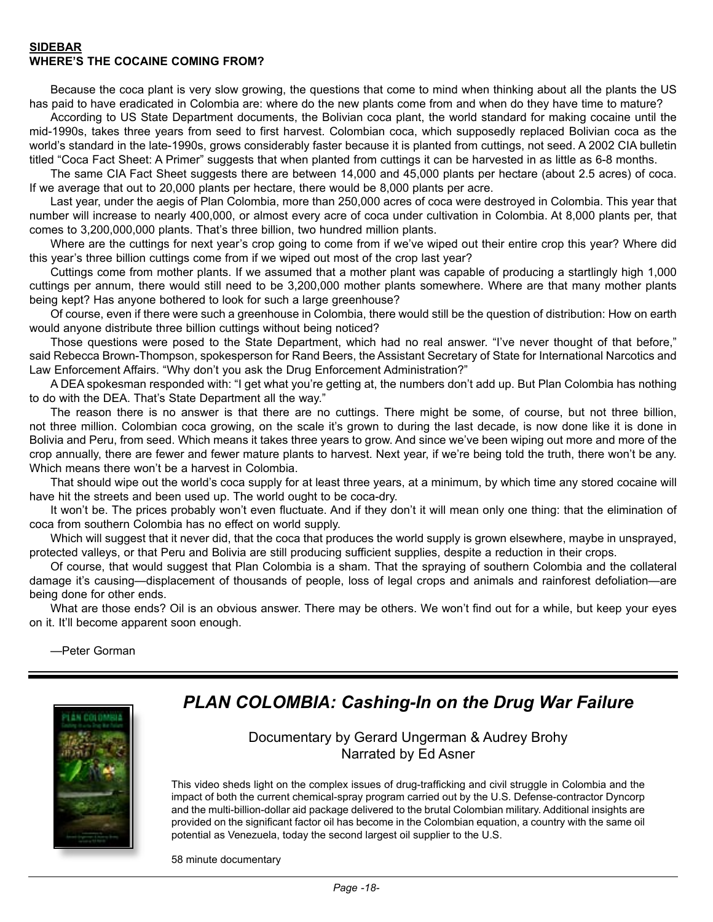### **SIDEBAR WHERE'S THE COCAINE COMING FROM?**

Because the coca plant is very slow growing, the questions that come to mind when thinking about all the plants the US has paid to have eradicated in Colombia are: where do the new plants come from and when do they have time to mature?

According to US State Department documents, the Bolivian coca plant, the world standard for making cocaine until the mid-1990s, takes three years from seed to first harvest. Colombian coca, which supposedly replaced Bolivian coca as the world's standard in the late-1990s, grows considerably faster because it is planted from cuttings, not seed. A 2002 CIA bulletin titled "Coca Fact Sheet: A Primer" suggests that when planted from cuttings it can be harvested in as little as 6-8 months.

The same CIA Fact Sheet suggests there are between 14,000 and 45,000 plants per hectare (about 2.5 acres) of coca. If we average that out to 20,000 plants per hectare, there would be 8,000 plants per acre.

Last year, under the aegis of Plan Colombia, more than 250,000 acres of coca were destroyed in Colombia. This year that number will increase to nearly 400,000, or almost every acre of coca under cultivation in Colombia. At 8,000 plants per, that comes to 3,200,000,000 plants. That's three billion, two hundred million plants.

Where are the cuttings for next year's crop going to come from if we've wiped out their entire crop this year? Where did this year's three billion cuttings come from if we wiped out most of the crop last year?

Cuttings come from mother plants. If we assumed that a mother plant was capable of producing a startlingly high 1,000 cuttings per annum, there would still need to be 3,200,000 mother plants somewhere. Where are that many mother plants being kept? Has anyone bothered to look for such a large greenhouse?

Of course, even if there were such a greenhouse in Colombia, there would still be the question of distribution: How on earth would anyone distribute three billion cuttings without being noticed?

Those questions were posed to the State Department, which had no real answer. "I've never thought of that before," said Rebecca Brown-Thompson, spokesperson for Rand Beers, the Assistant Secretary of State for International Narcotics and Law Enforcement Affairs. "Why don't you ask the Drug Enforcement Administration?"

A DEA spokesman responded with: "I get what you're getting at, the numbers don't add up. But Plan Colombia has nothing to do with the DEA. That's State Department all the way."

The reason there is no answer is that there are no cuttings. There might be some, of course, but not three billion, not three million. Colombian coca growing, on the scale it's grown to during the last decade, is now done like it is done in Bolivia and Peru, from seed. Which means it takes three years to grow. And since we've been wiping out more and more of the crop annually, there are fewer and fewer mature plants to harvest. Next year, if we're being told the truth, there won't be any. Which means there won't be a harvest in Colombia.

That should wipe out the world's coca supply for at least three years, at a minimum, by which time any stored cocaine will have hit the streets and been used up. The world ought to be coca-dry.

It won't be. The prices probably won't even fluctuate. And if they don't it will mean only one thing: that the elimination of coca from southern Colombia has no effect on world supply.

Which will suggest that it never did, that the coca that produces the world supply is grown elsewhere, maybe in unsprayed, protected valleys, or that Peru and Bolivia are still producing sufficient supplies, despite a reduction in their crops.

Of course, that would suggest that Plan Colombia is a sham. That the spraying of southern Colombia and the collateral damage it's causing—displacement of thousands of people, loss of legal crops and animals and rainforest defoliation—are being done for other ends.

What are those ends? Oil is an obvious answer. There may be others. We won't find out for a while, but keep your eyes on it. It'll become apparent soon enough.

—Peter Gorman



### *PLAN COLOMBIA: Cashing-In on the Drug War Failure*

Documentary by Gerard Ungerman & Audrey Brohy Narrated by Ed Asner

This video sheds light on the complex issues of drug-trafficking and civil struggle in Colombia and the impact of both the current chemical-spray program carried out by the U.S. Defense-contractor Dyncorp and the multi-billion-dollar aid package delivered to the brutal Colombian military. Additional insights are provided on the significant factor oil has become in the Colombian equation, a country with the same oil potential as Venezuela, today the second largest oil supplier to the U.S.

58 minute documentary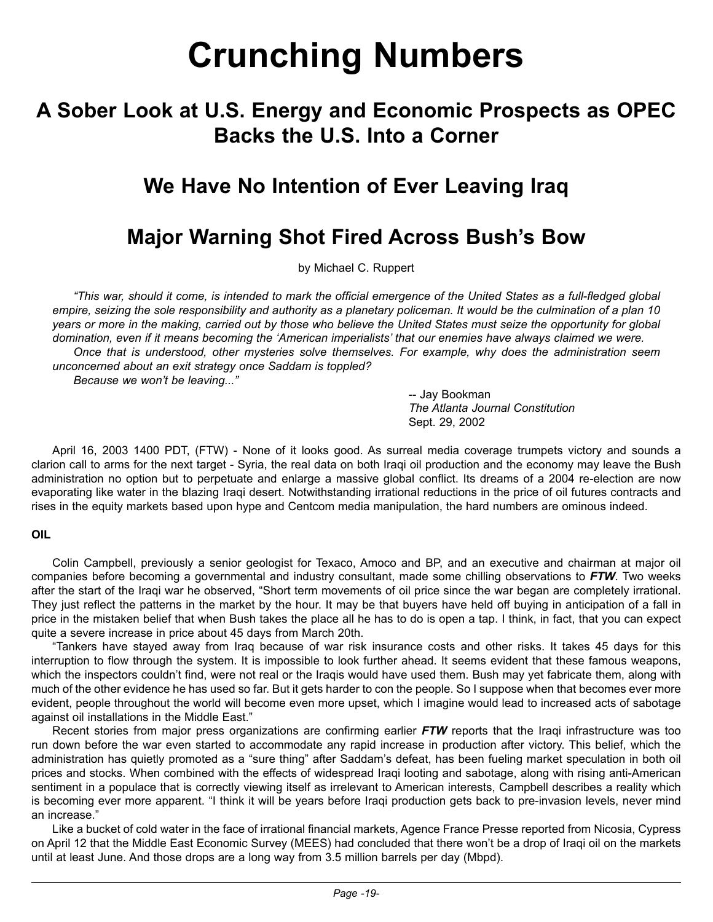# **Crunching Numbers**

# **A Sober Look at U.S. Energy and Economic Prospects as OPEC Backs the U.S. Into a Corner**

# **We Have No Intention of Ever Leaving Iraq**

# **Major Warning Shot Fired Across Bush's Bow**

by Michael C. Ruppert

*"This war, should it come, is intended to mark the official emergence of the United States as a full-fledged global empire, seizing the sole responsibility and authority as a planetary policeman. It would be the culmination of a plan 10 years or more in the making, carried out by those who believe the United States must seize the opportunity for global domination, even if it means becoming the 'American imperialists' that our enemies have always claimed we were. Once that is understood, other mysteries solve themselves. For example, why does the administration seem* 

*unconcerned about an exit strategy once Saddam is toppled?*

*Because we won't be leaving..."*

-- Jay Bookman *The Atlanta Journal Constitution* Sept. 29, 2002

April 16, 2003 1400 PDT, (FTW) - None of it looks good. As surreal media coverage trumpets victory and sounds a clarion call to arms for the next target - Syria, the real data on both Iraqi oil production and the economy may leave the Bush administration no option but to perpetuate and enlarge a massive global conflict. Its dreams of a 2004 re-election are now evaporating like water in the blazing Iraqi desert. Notwithstanding irrational reductions in the price of oil futures contracts and rises in the equity markets based upon hype and Centcom media manipulation, the hard numbers are ominous indeed.

### **OIL**

Colin Campbell, previously a senior geologist for Texaco, Amoco and BP, and an executive and chairman at major oil companies before becoming a governmental and industry consultant, made some chilling observations to *FTW*. Two weeks after the start of the Iraqi war he observed, "Short term movements of oil price since the war began are completely irrational. They just reflect the patterns in the market by the hour. It may be that buyers have held off buying in anticipation of a fall in price in the mistaken belief that when Bush takes the place all he has to do is open a tap. I think, in fact, that you can expect quite a severe increase in price about 45 days from March 20th.

"Tankers have stayed away from Iraq because of war risk insurance costs and other risks. It takes 45 days for this interruption to flow through the system. It is impossible to look further ahead. It seems evident that these famous weapons, which the inspectors couldn't find, were not real or the Iraqis would have used them. Bush may yet fabricate them, along with much of the other evidence he has used so far. But it gets harder to con the people. So I suppose when that becomes ever more evident, people throughout the world will become even more upset, which I imagine would lead to increased acts of sabotage against oil installations in the Middle East."

Recent stories from major press organizations are confirming earlier *FTW* reports that the Iraqi infrastructure was too run down before the war even started to accommodate any rapid increase in production after victory. This belief, which the administration has quietly promoted as a "sure thing" after Saddam's defeat, has been fueling market speculation in both oil prices and stocks. When combined with the effects of widespread Iraqi looting and sabotage, along with rising anti-American sentiment in a populace that is correctly viewing itself as irrelevant to American interests, Campbell describes a reality which is becoming ever more apparent. "I think it will be years before Iraqi production gets back to pre-invasion levels, never mind an increase."

Like a bucket of cold water in the face of irrational financial markets, Agence France Presse reported from Nicosia, Cypress on April 12 that the Middle East Economic Survey (MEES) had concluded that there won't be a drop of Iraqi oil on the markets until at least June. And those drops are a long way from 3.5 million barrels per day (Mbpd).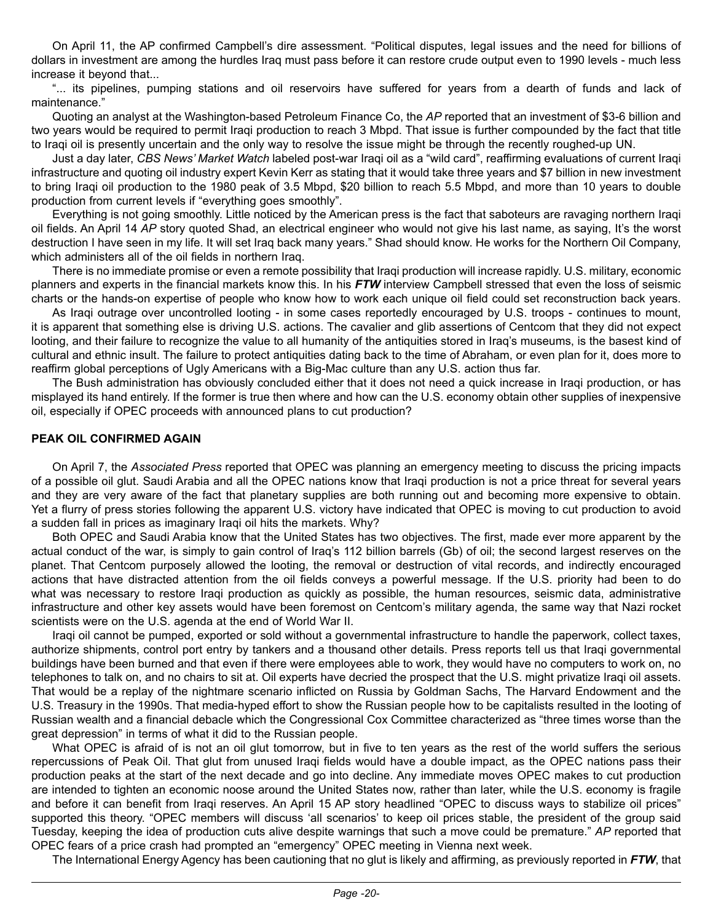On April 11, the AP confirmed Campbell's dire assessment. "Political disputes, legal issues and the need for billions of dollars in investment are among the hurdles Iraq must pass before it can restore crude output even to 1990 levels - much less increase it beyond that...

"... its pipelines, pumping stations and oil reservoirs have suffered for years from a dearth of funds and lack of maintenance."

Quoting an analyst at the Washington-based Petroleum Finance Co, the *AP* reported that an investment of \$3-6 billion and two years would be required to permit Iraqi production to reach 3 Mbpd. That issue is further compounded by the fact that title to Iraqi oil is presently uncertain and the only way to resolve the issue might be through the recently roughed-up UN.

Just a day later, *CBS News' Market Watch* labeled post-war Iraqi oil as a "wild card", reaffirming evaluations of current Iraqi infrastructure and quoting oil industry expert Kevin Kerr as stating that it would take three years and \$7 billion in new investment to bring Iraqi oil production to the 1980 peak of 3.5 Mbpd, \$20 billion to reach 5.5 Mbpd, and more than 10 years to double production from current levels if "everything goes smoothly".

Everything is not going smoothly. Little noticed by the American press is the fact that saboteurs are ravaging northern Iraqi oil fields. An April 14 *AP* story quoted Shad, an electrical engineer who would not give his last name, as saying, It's the worst destruction I have seen in my life. It will set Iraq back many years." Shad should know. He works for the Northern Oil Company, which administers all of the oil fields in northern Iraq.

There is no immediate promise or even a remote possibility that Iraqi production will increase rapidly. U.S. military, economic planners and experts in the financial markets know this. In his *FTW* interview Campbell stressed that even the loss of seismic charts or the hands-on expertise of people who know how to work each unique oil field could set reconstruction back years.

As Iraqi outrage over uncontrolled looting - in some cases reportedly encouraged by U.S. troops - continues to mount, it is apparent that something else is driving U.S. actions. The cavalier and glib assertions of Centcom that they did not expect looting, and their failure to recognize the value to all humanity of the antiquities stored in Iraq's museums, is the basest kind of cultural and ethnic insult. The failure to protect antiquities dating back to the time of Abraham, or even plan for it, does more to reaffirm global perceptions of Ugly Americans with a Big-Mac culture than any U.S. action thus far.

The Bush administration has obviously concluded either that it does not need a quick increase in Iraqi production, or has misplayed its hand entirely. If the former is true then where and how can the U.S. economy obtain other supplies of inexpensive oil, especially if OPEC proceeds with announced plans to cut production?

### **PEAK OIL CONFIRMED AGAIN**

On April 7, the *Associated Press* reported that OPEC was planning an emergency meeting to discuss the pricing impacts of a possible oil glut. Saudi Arabia and all the OPEC nations know that Iraqi production is not a price threat for several years and they are very aware of the fact that planetary supplies are both running out and becoming more expensive to obtain. Yet a flurry of press stories following the apparent U.S. victory have indicated that OPEC is moving to cut production to avoid a sudden fall in prices as imaginary Iraqi oil hits the markets. Why?

Both OPEC and Saudi Arabia know that the United States has two objectives. The first, made ever more apparent by the actual conduct of the war, is simply to gain control of Iraq's 112 billion barrels (Gb) of oil; the second largest reserves on the planet. That Centcom purposely allowed the looting, the removal or destruction of vital records, and indirectly encouraged actions that have distracted attention from the oil fields conveys a powerful message. If the U.S. priority had been to do what was necessary to restore Iraqi production as quickly as possible, the human resources, seismic data, administrative infrastructure and other key assets would have been foremost on Centcom's military agenda, the same way that Nazi rocket scientists were on the U.S. agenda at the end of World War II.

Iraqi oil cannot be pumped, exported or sold without a governmental infrastructure to handle the paperwork, collect taxes, authorize shipments, control port entry by tankers and a thousand other details. Press reports tell us that Iraqi governmental buildings have been burned and that even if there were employees able to work, they would have no computers to work on, no telephones to talk on, and no chairs to sit at. Oil experts have decried the prospect that the U.S. might privatize Iraqi oil assets. That would be a replay of the nightmare scenario inflicted on Russia by Goldman Sachs, The Harvard Endowment and the U.S. Treasury in the 1990s. That media-hyped effort to show the Russian people how to be capitalists resulted in the looting of Russian wealth and a financial debacle which the Congressional Cox Committee characterized as "three times worse than the great depression" in terms of what it did to the Russian people.

What OPEC is afraid of is not an oil glut tomorrow, but in five to ten years as the rest of the world suffers the serious repercussions of Peak Oil. That glut from unused Iraqi fields would have a double impact, as the OPEC nations pass their production peaks at the start of the next decade and go into decline. Any immediate moves OPEC makes to cut production are intended to tighten an economic noose around the United States now, rather than later, while the U.S. economy is fragile and before it can benefit from Iraqi reserves. An April 15 AP story headlined "OPEC to discuss ways to stabilize oil prices" supported this theory. "OPEC members will discuss 'all scenarios' to keep oil prices stable, the president of the group said Tuesday, keeping the idea of production cuts alive despite warnings that such a move could be premature." *AP* reported that OPEC fears of a price crash had prompted an "emergency" OPEC meeting in Vienna next week.

The International Energy Agency has been cautioning that no glut is likely and affirming, as previously reported in *FTW*, that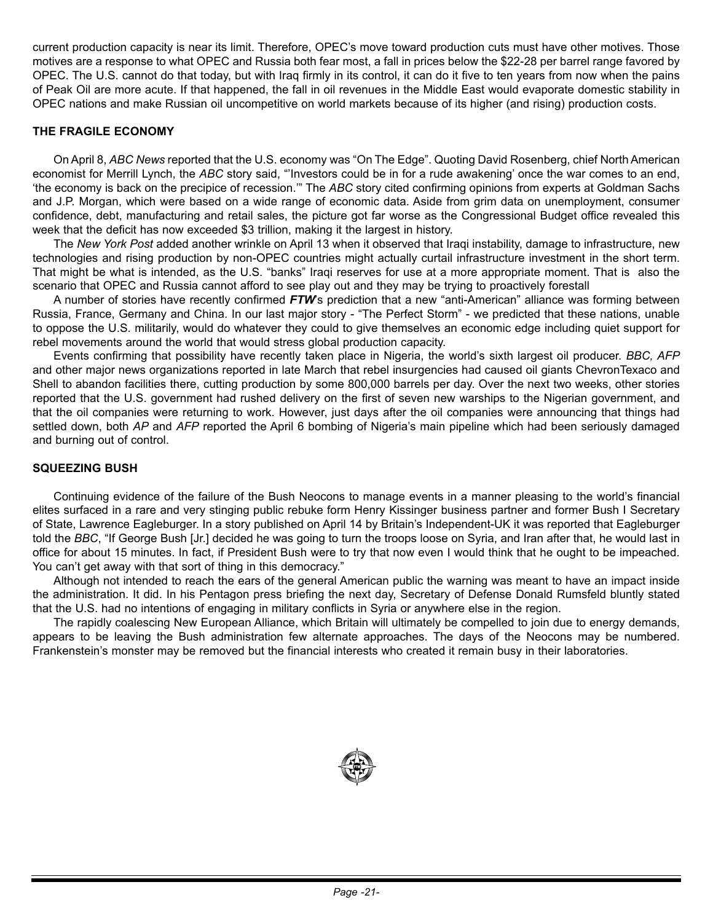current production capacity is near its limit. Therefore, OPEC's move toward production cuts must have other motives. Those motives are a response to what OPEC and Russia both fear most, a fall in prices below the \$22-28 per barrel range favored by OPEC. The U.S. cannot do that today, but with Iraq firmly in its control, it can do it five to ten years from now when the pains of Peak Oil are more acute. If that happened, the fall in oil revenues in the Middle East would evaporate domestic stability in OPEC nations and make Russian oil uncompetitive on world markets because of its higher (and rising) production costs.

### **THE FRAGILE ECONOMY**

On April 8, *ABC News* reported that the U.S. economy was "On The Edge". Quoting David Rosenberg, chief North American economist for Merrill Lynch, the *ABC* story said, "'Investors could be in for a rude awakening' once the war comes to an end, 'the economy is back on the precipice of recession.'" The *ABC* story cited confirming opinions from experts at Goldman Sachs and J.P. Morgan, which were based on a wide range of economic data. Aside from grim data on unemployment, consumer confidence, debt, manufacturing and retail sales, the picture got far worse as the Congressional Budget office revealed this week that the deficit has now exceeded \$3 trillion, making it the largest in history.

The *New York Post* added another wrinkle on April 13 when it observed that Iraqi instability, damage to infrastructure, new technologies and rising production by non-OPEC countries might actually curtail infrastructure investment in the short term. That might be what is intended, as the U.S. "banks" Iraqi reserves for use at a more appropriate moment. That is also the scenario that OPEC and Russia cannot afford to see play out and they may be trying to proactively forestall

A number of stories have recently confirmed *FTW*'s prediction that a new "anti-American" alliance was forming between Russia, France, Germany and China. In our last major story - "The Perfect Storm" - we predicted that these nations, unable to oppose the U.S. militarily, would do whatever they could to give themselves an economic edge including quiet support for rebel movements around the world that would stress global production capacity.

Events confirming that possibility have recently taken place in Nigeria, the world's sixth largest oil producer. *BBC, AFP* and other major news organizations reported in late March that rebel insurgencies had caused oil giants ChevronTexaco and Shell to abandon facilities there, cutting production by some 800,000 barrels per day. Over the next two weeks, other stories reported that the U.S. government had rushed delivery on the first of seven new warships to the Nigerian government, and that the oil companies were returning to work. However, just days after the oil companies were announcing that things had settled down, both *AP* and *AFP* reported the April 6 bombing of Nigeria's main pipeline which had been seriously damaged and burning out of control.

### **SQUEEZING BUSH**

Continuing evidence of the failure of the Bush Neocons to manage events in a manner pleasing to the world's financial elites surfaced in a rare and very stinging public rebuke form Henry Kissinger business partner and former Bush I Secretary of State, Lawrence Eagleburger. In a story published on April 14 by Britain's Independent-UK it was reported that Eagleburger told the *BBC*, "If George Bush [Jr.] decided he was going to turn the troops loose on Syria, and Iran after that, he would last in office for about 15 minutes. In fact, if President Bush were to try that now even I would think that he ought to be impeached. You can't get away with that sort of thing in this democracy."

Although not intended to reach the ears of the general American public the warning was meant to have an impact inside the administration. It did. In his Pentagon press briefing the next day, Secretary of Defense Donald Rumsfeld bluntly stated that the U.S. had no intentions of engaging in military conflicts in Syria or anywhere else in the region.

The rapidly coalescing New European Alliance, which Britain will ultimately be compelled to join due to energy demands, appears to be leaving the Bush administration few alternate approaches. The days of the Neocons may be numbered. Frankenstein's monster may be removed but the financial interests who created it remain busy in their laboratories.